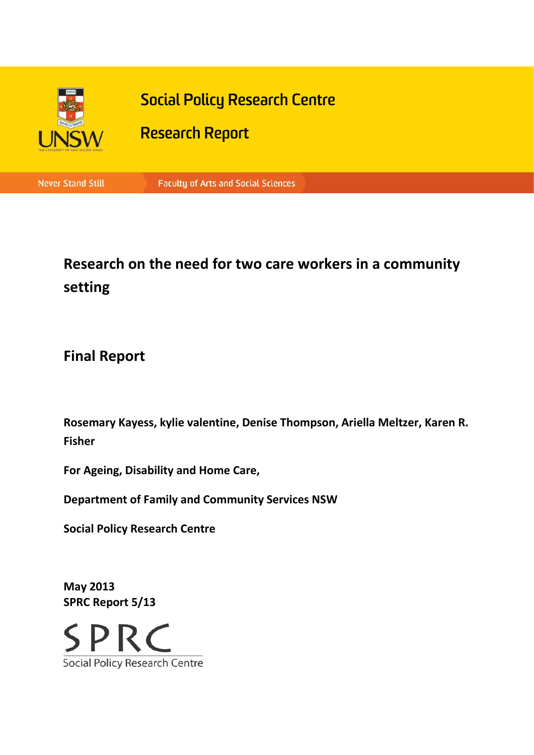

# **Research on the need for two care workers in a community setting**

## **Final Report**

**Rosemary Kayess, kylie valentine, Denise Thompson, Ariella Meltzer, Karen R. Fisher**

**For Ageing, Disability and Home Care,** 

**Department of Family and Community Services NSW**

**Social Policy Research Centre**

**May 2013 SPRC Report 5/13**

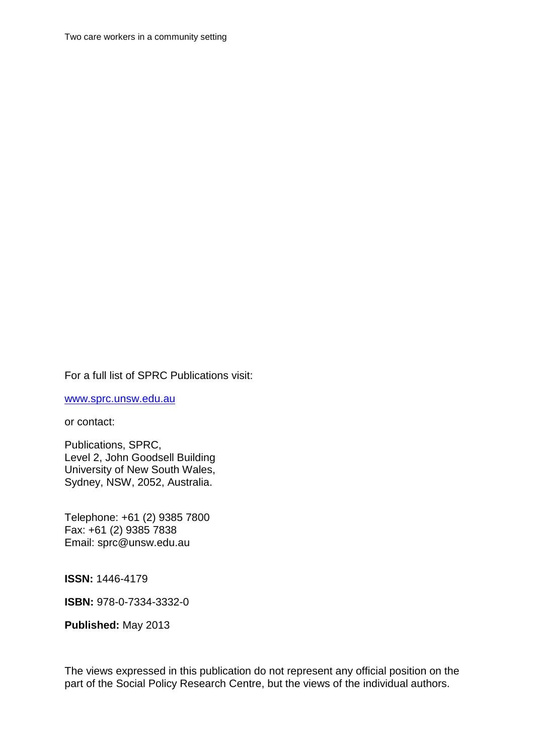Two care workers in a community setting

#### For a full list of SPRC Publications visit:

[www.sprc.unsw.edu.au](http://www.sprc.unsw.edu.au/)

or contact:

Publications, SPRC, Level 2, John Goodsell Building University of New South Wales, Sydney, NSW, 2052, Australia.

Telephone: +61 (2) 9385 7800 Fax: +61 (2) 9385 7838 Email: sprc@unsw.edu.au

**ISSN:** 1446-4179

**ISBN:** 978-0-7334-3332-0

**Published:** May 2013

The views expressed in this publication do not represent any official position on the part of the Social Policy Research Centre, but the views of the individual authors.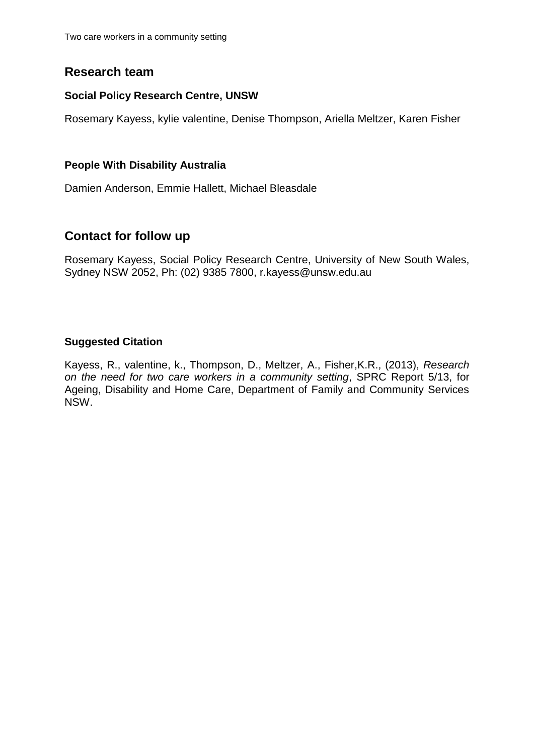Two care workers in a community setting

### **Research team**

#### **Social Policy Research Centre, UNSW**

Rosemary Kayess, kylie valentine, Denise Thompson, Ariella Meltzer, Karen Fisher

#### **People With Disability Australia**

Damien Anderson, Emmie Hallett, Michael Bleasdale

### **Contact for follow up**

Rosemary Kayess, Social Policy Research Centre, University of New South Wales, Sydney NSW 2052, Ph: (02) 9385 7800, r.kayess@unsw.edu.au

#### **Suggested Citation**

Kayess, R., valentine, k., Thompson, D., Meltzer, A., Fisher,K.R., (2013), *Research on the need for two care workers in a community setting*, SPRC Report 5/13, for Ageing, Disability and Home Care, Department of Family and Community Services NSW.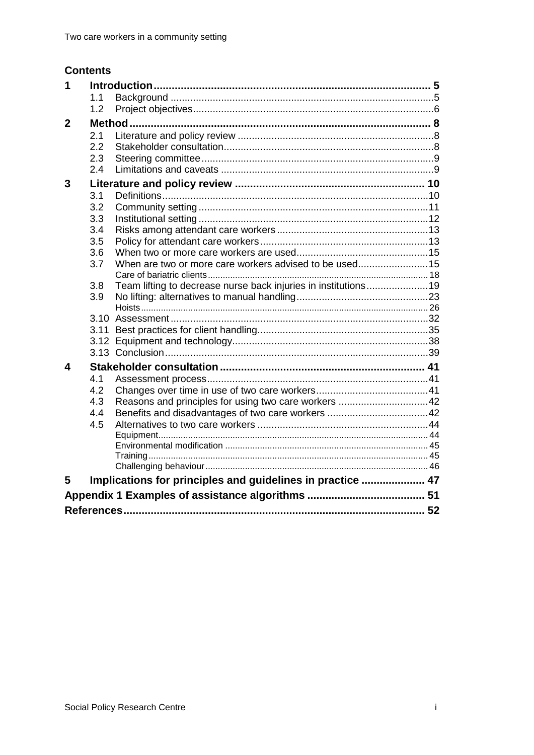## **Contents**

| 1            |     |                                                                |  |  |
|--------------|-----|----------------------------------------------------------------|--|--|
|              | 1.1 |                                                                |  |  |
|              | 1.2 |                                                                |  |  |
| $\mathbf{2}$ |     |                                                                |  |  |
|              | 2.1 |                                                                |  |  |
|              | 2.2 |                                                                |  |  |
|              | 2.3 |                                                                |  |  |
|              | 2.4 |                                                                |  |  |
| 3            |     |                                                                |  |  |
|              | 3.1 |                                                                |  |  |
|              | 3.2 |                                                                |  |  |
|              | 3.3 |                                                                |  |  |
|              | 3.4 |                                                                |  |  |
|              | 3.5 |                                                                |  |  |
|              | 3.6 |                                                                |  |  |
|              | 3.7 | When are two or more care workers advised to be used15         |  |  |
|              |     |                                                                |  |  |
|              | 3.8 | Team lifting to decrease nurse back injuries in institutions19 |  |  |
|              | 3.9 |                                                                |  |  |
|              |     |                                                                |  |  |
|              |     |                                                                |  |  |
|              |     |                                                                |  |  |
|              |     |                                                                |  |  |
| 4            |     |                                                                |  |  |
|              | 4.1 |                                                                |  |  |
|              | 4.2 |                                                                |  |  |
|              | 4.3 | Reasons and principles for using two care workers 42           |  |  |
|              | 4.4 |                                                                |  |  |
|              | 4.5 |                                                                |  |  |
|              |     |                                                                |  |  |
|              |     |                                                                |  |  |
|              |     |                                                                |  |  |
|              |     |                                                                |  |  |
| 5            |     | Implications for principles and guidelines in practice  47     |  |  |
|              |     |                                                                |  |  |
|              |     |                                                                |  |  |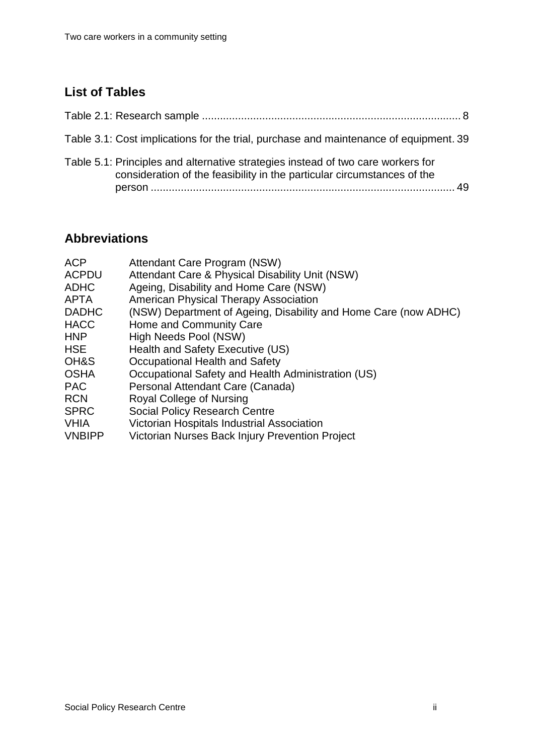## **List of Tables**

| Table 3.1: Cost implications for the trial, purchase and maintenance of equipment. 39                                                                       |  |
|-------------------------------------------------------------------------------------------------------------------------------------------------------------|--|
| Table 5.1: Principles and alternative strategies instead of two care workers for<br>consideration of the feasibility in the particular circumstances of the |  |

## **Abbreviations**

<span id="page-4-0"></span>

| <b>ACP</b>    | Attendant Care Program (NSW)                                    |
|---------------|-----------------------------------------------------------------|
| <b>ACPDU</b>  | Attendant Care & Physical Disability Unit (NSW)                 |
| <b>ADHC</b>   | Ageing, Disability and Home Care (NSW)                          |
| <b>APTA</b>   | <b>American Physical Therapy Association</b>                    |
| <b>DADHC</b>  | (NSW) Department of Ageing, Disability and Home Care (now ADHC) |
| <b>HACC</b>   | Home and Community Care                                         |
| <b>HNP</b>    | High Needs Pool (NSW)                                           |
| <b>HSE</b>    | Health and Safety Executive (US)                                |
| OH&S          | Occupational Health and Safety                                  |
| <b>OSHA</b>   | Occupational Safety and Health Administration (US)              |
| <b>PAC</b>    | Personal Attendant Care (Canada)                                |
| <b>RCN</b>    | Royal College of Nursing                                        |
| <b>SPRC</b>   | <b>Social Policy Research Centre</b>                            |
| <b>VHIA</b>   | Victorian Hospitals Industrial Association                      |
| <b>VNBIPP</b> | Victorian Nurses Back Injury Prevention Project                 |
|               |                                                                 |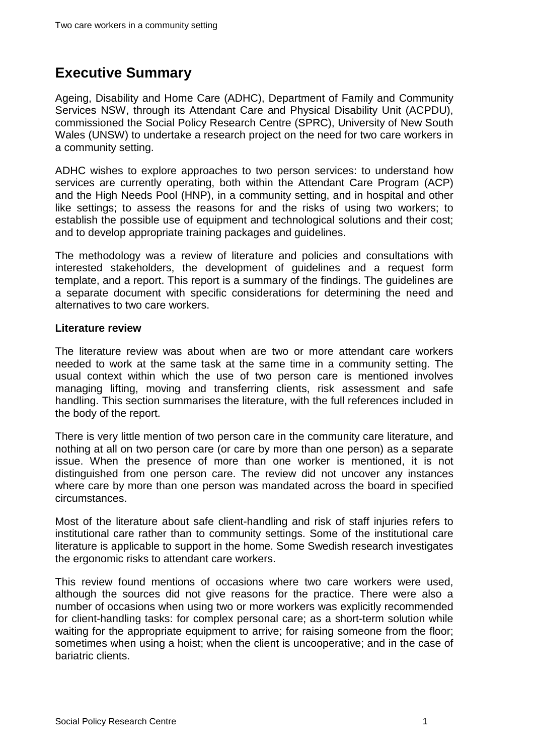## **Executive Summary**

Ageing, Disability and Home Care (ADHC), Department of Family and Community Services NSW, through its Attendant Care and Physical Disability Unit (ACPDU), commissioned the Social Policy Research Centre (SPRC), University of New South Wales (UNSW) to undertake a research project on the need for two care workers in a community setting.

ADHC wishes to explore approaches to two person services: to understand how services are currently operating, both within the Attendant Care Program (ACP) and the High Needs Pool (HNP), in a community setting, and in hospital and other like settings; to assess the reasons for and the risks of using two workers; to establish the possible use of equipment and technological solutions and their cost; and to develop appropriate training packages and guidelines.

The methodology was a review of literature and policies and consultations with interested stakeholders, the development of guidelines and a request form template, and a report. This report is a summary of the findings. The guidelines are a separate document with specific considerations for determining the need and alternatives to two care workers.

#### **Literature review**

The literature review was about when are two or more attendant care workers needed to work at the same task at the same time in a community setting. The usual context within which the use of two person care is mentioned involves managing lifting, moving and transferring clients, risk assessment and safe handling. This section summarises the literature, with the full references included in the body of the report.

There is very little mention of two person care in the community care literature, and nothing at all on two person care (or care by more than one person) as a separate issue. When the presence of more than one worker is mentioned, it is not distinguished from one person care. The review did not uncover any instances where care by more than one person was mandated across the board in specified circumstances.

Most of the literature about safe client-handling and risk of staff injuries refers to institutional care rather than to community settings. Some of the institutional care literature is applicable to support in the home. Some Swedish research investigates the ergonomic risks to attendant care workers.

This review found mentions of occasions where two care workers were used, although the sources did not give reasons for the practice. There were also a number of occasions when using two or more workers was explicitly recommended for client-handling tasks: for complex personal care; as a short-term solution while waiting for the appropriate equipment to arrive; for raising someone from the floor; sometimes when using a hoist; when the client is uncooperative; and in the case of bariatric clients.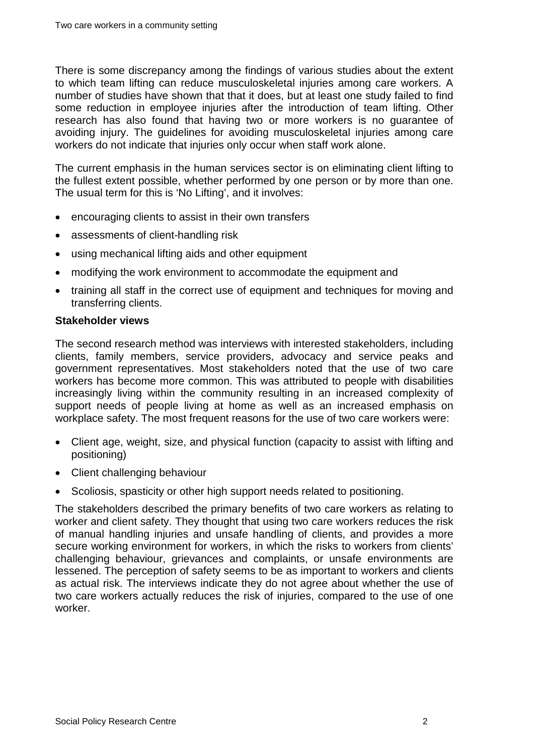There is some discrepancy among the findings of various studies about the extent to which team lifting can reduce musculoskeletal injuries among care workers. A number of studies have shown that that it does, but at least one study failed to find some reduction in employee injuries after the introduction of team lifting. Other research has also found that having two or more workers is no guarantee of avoiding injury. The guidelines for avoiding musculoskeletal injuries among care workers do not indicate that injuries only occur when staff work alone.

The current emphasis in the human services sector is on eliminating client lifting to the fullest extent possible, whether performed by one person or by more than one. The usual term for this is 'No Lifting', and it involves:

- encouraging clients to assist in their own transfers
- assessments of client-handling risk
- using mechanical lifting aids and other equipment
- modifying the work environment to accommodate the equipment and
- training all staff in the correct use of equipment and techniques for moving and transferring clients.

#### **Stakeholder views**

The second research method was interviews with interested stakeholders, including clients, family members, service providers, advocacy and service peaks and government representatives. Most stakeholders noted that the use of two care workers has become more common. This was attributed to people with disabilities increasingly living within the community resulting in an increased complexity of support needs of people living at home as well as an increased emphasis on workplace safety. The most frequent reasons for the use of two care workers were:

- Client age, weight, size, and physical function (capacity to assist with lifting and positioning)
- Client challenging behaviour
- Scoliosis, spasticity or other high support needs related to positioning.

The stakeholders described the primary benefits of two care workers as relating to worker and client safety. They thought that using two care workers reduces the risk of manual handling injuries and unsafe handling of clients, and provides a more secure working environment for workers, in which the risks to workers from clients' challenging behaviour, grievances and complaints, or unsafe environments are lessened. The perception of safety seems to be as important to workers and clients as actual risk. The interviews indicate they do not agree about whether the use of two care workers actually reduces the risk of injuries, compared to the use of one worker.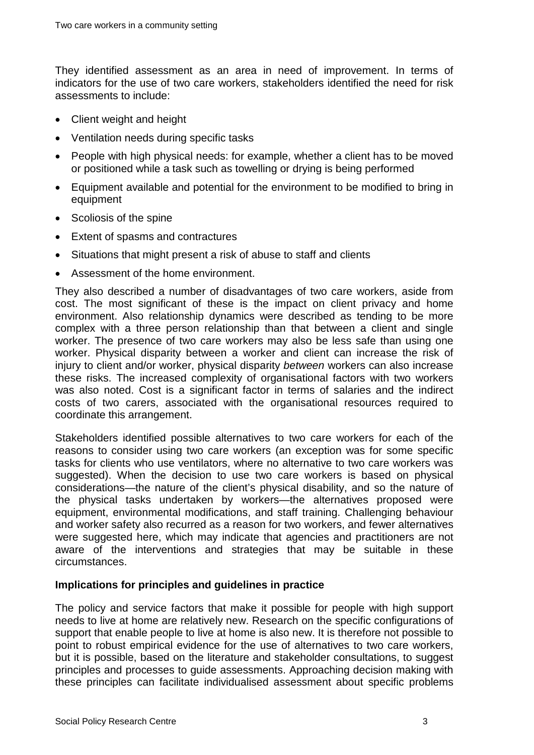They identified assessment as an area in need of improvement. In terms of indicators for the use of two care workers, stakeholders identified the need for risk assessments to include:

- Client weight and height
- Ventilation needs during specific tasks
- People with high physical needs: for example, whether a client has to be moved or positioned while a task such as towelling or drying is being performed
- Equipment available and potential for the environment to be modified to bring in equipment
- Scoliosis of the spine
- Extent of spasms and contractures
- Situations that might present a risk of abuse to staff and clients
- Assessment of the home environment.

They also described a number of disadvantages of two care workers, aside from cost. The most significant of these is the impact on client privacy and home environment. Also relationship dynamics were described as tending to be more complex with a three person relationship than that between a client and single worker. The presence of two care workers may also be less safe than using one worker. Physical disparity between a worker and client can increase the risk of injury to client and/or worker, physical disparity *between* workers can also increase these risks. The increased complexity of organisational factors with two workers was also noted. Cost is a significant factor in terms of salaries and the indirect costs of two carers, associated with the organisational resources required to coordinate this arrangement.

Stakeholders identified possible alternatives to two care workers for each of the reasons to consider using two care workers (an exception was for some specific tasks for clients who use ventilators, where no alternative to two care workers was suggested). When the decision to use two care workers is based on physical considerations—the nature of the client's physical disability, and so the nature of the physical tasks undertaken by workers—the alternatives proposed were equipment, environmental modifications, and staff training. Challenging behaviour and worker safety also recurred as a reason for two workers, and fewer alternatives were suggested here, which may indicate that agencies and practitioners are not aware of the interventions and strategies that may be suitable in these circumstances.

#### **Implications for principles and guidelines in practice**

The policy and service factors that make it possible for people with high support needs to live at home are relatively new. Research on the specific configurations of support that enable people to live at home is also new. It is therefore not possible to point to robust empirical evidence for the use of alternatives to two care workers, but it is possible, based on the literature and stakeholder consultations, to suggest principles and processes to guide assessments. Approaching decision making with these principles can facilitate individualised assessment about specific problems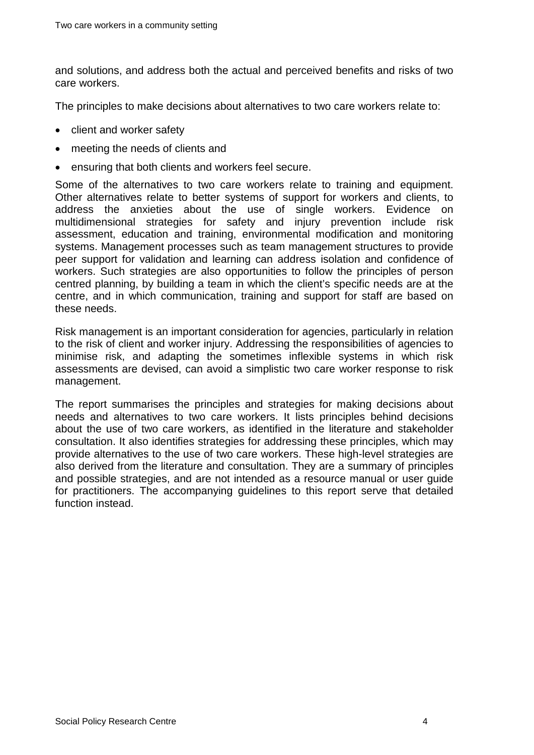and solutions, and address both the actual and perceived benefits and risks of two care workers.

The principles to make decisions about alternatives to two care workers relate to:

- client and worker safety
- meeting the needs of clients and
- ensuring that both clients and workers feel secure.

Some of the alternatives to two care workers relate to training and equipment. Other alternatives relate to better systems of support for workers and clients, to address the anxieties about the use of single workers. Evidence on multidimensional strategies for safety and injury prevention include risk assessment, education and training, environmental modification and monitoring systems. Management processes such as team management structures to provide peer support for validation and learning can address isolation and confidence of workers. Such strategies are also opportunities to follow the principles of person centred planning, by building a team in which the client's specific needs are at the centre, and in which communication, training and support for staff are based on these needs.

Risk management is an important consideration for agencies, particularly in relation to the risk of client and worker injury. Addressing the responsibilities of agencies to minimise risk, and adapting the sometimes inflexible systems in which risk assessments are devised, can avoid a simplistic two care worker response to risk management.

The report summarises the principles and strategies for making decisions about needs and alternatives to two care workers. It lists principles behind decisions about the use of two care workers, as identified in the literature and stakeholder consultation. It also identifies strategies for addressing these principles, which may provide alternatives to the use of two care workers. These high-level strategies are also derived from the literature and consultation. They are a summary of principles and possible strategies, and are not intended as a resource manual or user guide for practitioners. The accompanying guidelines to this report serve that detailed function instead.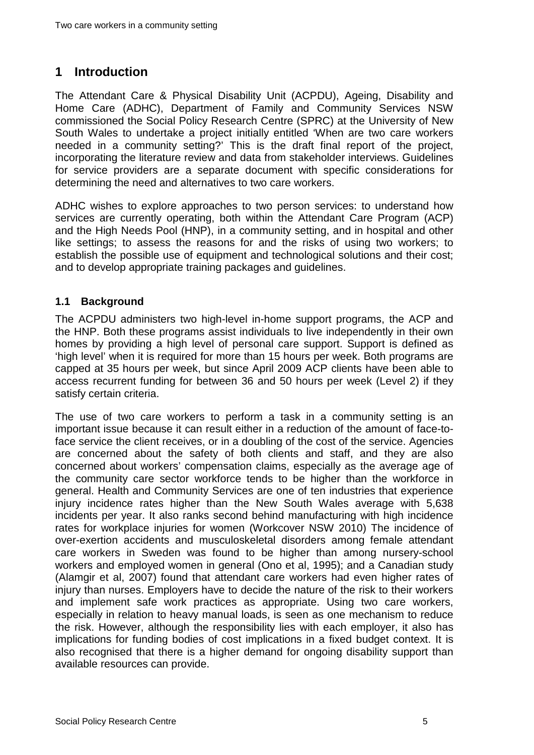## <span id="page-9-0"></span>**1 Introduction**

The Attendant Care & Physical Disability Unit (ACPDU), Ageing, Disability and Home Care (ADHC), Department of Family and Community Services NSW commissioned the Social Policy Research Centre (SPRC) at the University of New South Wales to undertake a project initially entitled 'When are two care workers needed in a community setting?' This is the draft final report of the project, incorporating the literature review and data from stakeholder interviews. Guidelines for service providers are a separate document with specific considerations for determining the need and alternatives to two care workers.

ADHC wishes to explore approaches to two person services: to understand how services are currently operating, both within the Attendant Care Program (ACP) and the High Needs Pool (HNP), in a community setting, and in hospital and other like settings; to assess the reasons for and the risks of using two workers; to establish the possible use of equipment and technological solutions and their cost; and to develop appropriate training packages and guidelines.

#### <span id="page-9-1"></span>**1.1 Background**

The ACPDU administers two high-level in-home support programs, the ACP and the HNP. Both these programs assist individuals to live independently in their own homes by providing a high level of personal care support. Support is defined as 'high level' when it is required for more than 15 hours per week. Both programs are capped at 35 hours per week, but since April 2009 ACP clients have been able to access recurrent funding for between 36 and 50 hours per week (Level 2) if they satisfy certain criteria.

The use of two care workers to perform a task in a community setting is an important issue because it can result either in a reduction of the amount of face-toface service the client receives, or in a doubling of the cost of the service. Agencies are concerned about the safety of both clients and staff, and they are also concerned about workers' compensation claims, especially as the average age of the community care sector workforce tends to be higher than the workforce in general. Health and Community Services are one of ten industries that experience injury incidence rates higher than the New South Wales average with 5,638 incidents per year. It also ranks second behind manufacturing with high incidence rates for workplace injuries for women (Workcover NSW 2010) The incidence of over-exertion accidents and musculoskeletal disorders among female attendant care workers in Sweden was found to be higher than among nursery-school workers and employed women in general (Ono et al, 1995); and a Canadian study (Alamgir et al, 2007) found that attendant care workers had even higher rates of injury than nurses. Employers have to decide the nature of the risk to their workers and implement safe work practices as appropriate. Using two care workers, especially in relation to heavy manual loads, is seen as one mechanism to reduce the risk. However, although the responsibility lies with each employer, it also has implications for funding bodies of cost implications in a fixed budget context. It is also recognised that there is a higher demand for ongoing disability support than available resources can provide.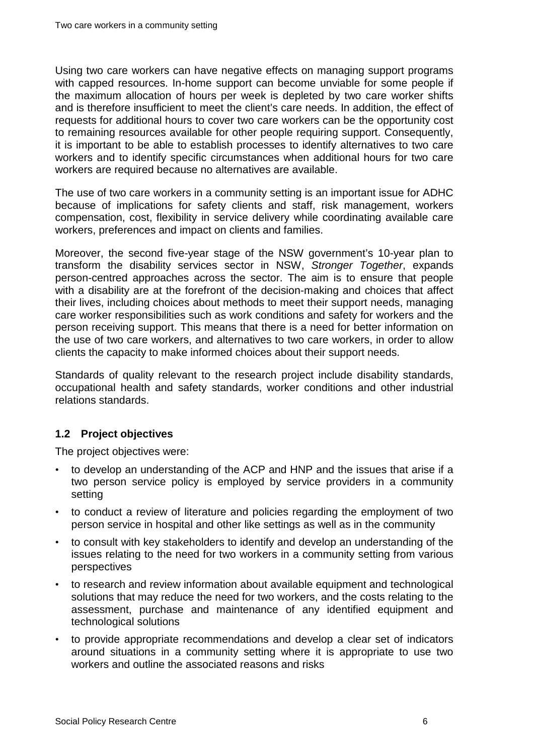Using two care workers can have negative effects on managing support programs with capped resources. In-home support can become unviable for some people if the maximum allocation of hours per week is depleted by two care worker shifts and is therefore insufficient to meet the client's care needs. In addition, the effect of requests for additional hours to cover two care workers can be the opportunity cost to remaining resources available for other people requiring support. Consequently, it is important to be able to establish processes to identify alternatives to two care workers and to identify specific circumstances when additional hours for two care workers are required because no alternatives are available.

The use of two care workers in a community setting is an important issue for ADHC because of implications for safety clients and staff, risk management, workers compensation, cost, flexibility in service delivery while coordinating available care workers, preferences and impact on clients and families.

Moreover, the second five-year stage of the NSW government's 10-year plan to transform the disability services sector in NSW, *Stronger Together*, expands person-centred approaches across the sector. The aim is to ensure that people with a disability are at the forefront of the decision-making and choices that affect their lives, including choices about methods to meet their support needs, managing care worker responsibilities such as work conditions and safety for workers and the person receiving support. This means that there is a need for better information on the use of two care workers, and alternatives to two care workers, in order to allow clients the capacity to make informed choices about their support needs.

Standards of quality relevant to the research project include disability standards, occupational health and safety standards, worker conditions and other industrial relations standards.

#### <span id="page-10-0"></span>**1.2 Project objectives**

The project objectives were:

- to develop an understanding of the ACP and HNP and the issues that arise if a two person service policy is employed by service providers in a community setting
- to conduct a review of literature and policies regarding the employment of two person service in hospital and other like settings as well as in the community
- to consult with key stakeholders to identify and develop an understanding of the issues relating to the need for two workers in a community setting from various perspectives
- to research and review information about available equipment and technological solutions that may reduce the need for two workers, and the costs relating to the assessment, purchase and maintenance of any identified equipment and technological solutions
- to provide appropriate recommendations and develop a clear set of indicators around situations in a community setting where it is appropriate to use two workers and outline the associated reasons and risks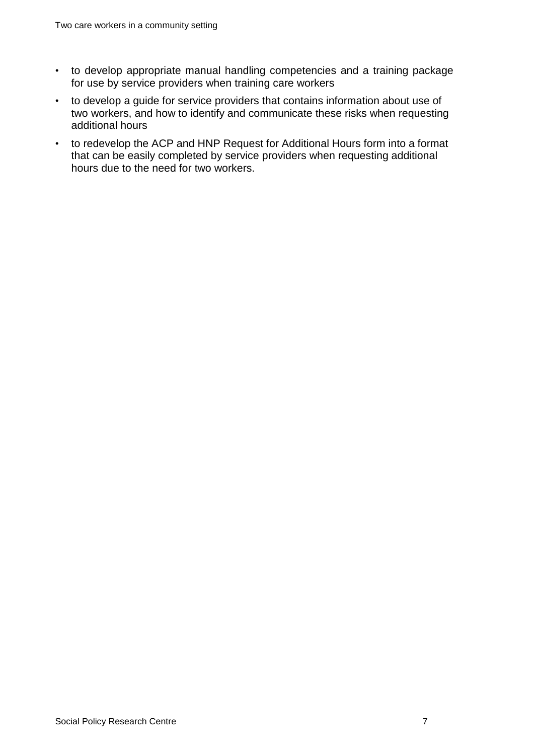- to develop appropriate manual handling competencies and a training package for use by service providers when training care workers
- to develop a guide for service providers that contains information about use of two workers, and how to identify and communicate these risks when requesting additional hours
- to redevelop the ACP and HNP Request for Additional Hours form into a format that can be easily completed by service providers when requesting additional hours due to the need for two workers.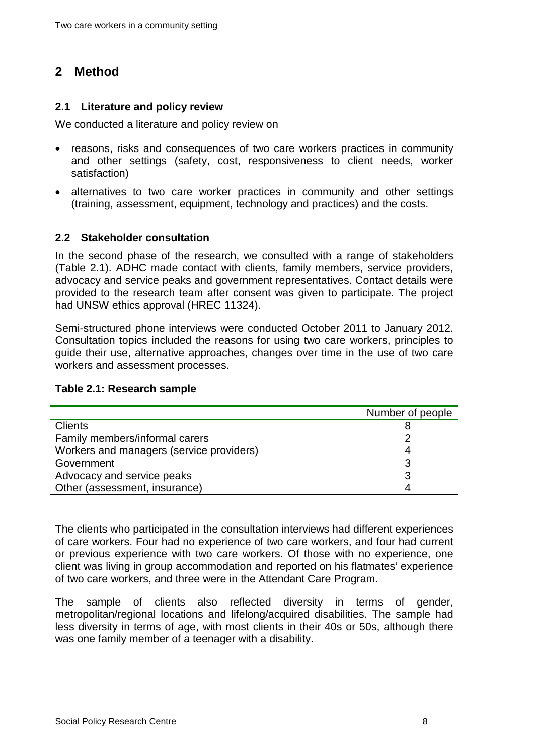## <span id="page-12-0"></span>**2 Method**

#### <span id="page-12-1"></span>**2.1 Literature and policy review**

We conducted a literature and policy review on

- reasons, risks and consequences of two care workers practices in community and other settings (safety, cost, responsiveness to client needs, worker satisfaction)
- alternatives to two care worker practices in community and other settings (training, assessment, equipment, technology and practices) and the costs.

#### <span id="page-12-2"></span>**2.2 Stakeholder consultation**

In the second phase of the research, we consulted with a range of stakeholders [\(Table 2.1\)](#page-12-3). ADHC made contact with clients, family members, service providers, advocacy and service peaks and government representatives. Contact details were provided to the research team after consent was given to participate. The project had UNSW ethics approval (HREC 11324).

Semi-structured phone interviews were conducted October 2011 to January 2012. Consultation topics included the reasons for using two care workers, principles to guide their use, alternative approaches, changes over time in the use of two care workers and assessment processes.

#### <span id="page-12-3"></span>**Table 2.1: Research sample**

|                                          | Number of people |
|------------------------------------------|------------------|
| <b>Clients</b>                           |                  |
| Family members/informal carers           |                  |
| Workers and managers (service providers) |                  |
| Government                               |                  |
| Advocacy and service peaks               |                  |
| Other (assessment, insurance)            |                  |

The clients who participated in the consultation interviews had different experiences of care workers. Four had no experience of two care workers, and four had current or previous experience with two care workers. Of those with no experience, one client was living in group accommodation and reported on his flatmates' experience of two care workers, and three were in the Attendant Care Program.

The sample of clients also reflected diversity in terms of gender, metropolitan/regional locations and lifelong/acquired disabilities. The sample had less diversity in terms of age, with most clients in their 40s or 50s, although there was one family member of a teenager with a disability.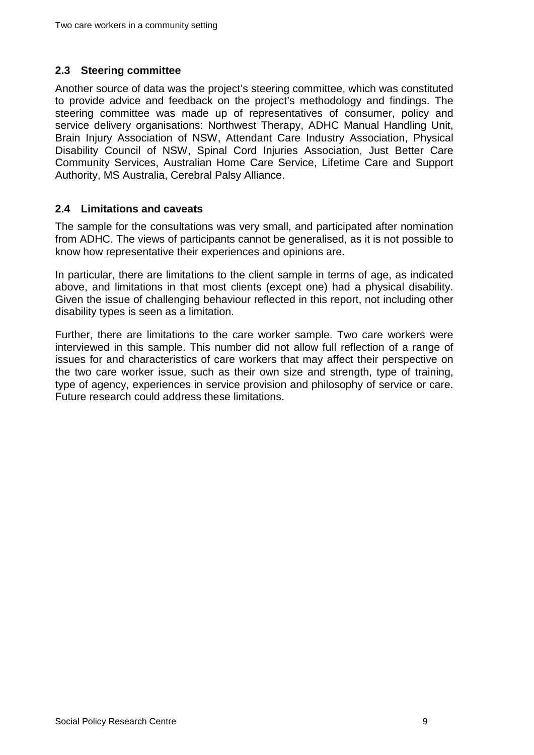#### <span id="page-13-0"></span>**2.3 Steering committee**

Another source of data was the project's steering committee, which was constituted to provide advice and feedback on the project's methodology and findings. The steering committee was made up of representatives of consumer, policy and service delivery organisations: Northwest Therapy, ADHC Manual Handling Unit, Brain Injury Association of NSW, Attendant Care Industry Association, Physical Disability Council of NSW, Spinal Cord Injuries Association, Just Better Care Community Services, Australian Home Care Service, Lifetime Care and Support Authority, MS Australia, Cerebral Palsy Alliance.

#### <span id="page-13-1"></span>**2.4 Limitations and caveats**

The sample for the consultations was very small, and participated after nomination from ADHC. The views of participants cannot be generalised, as it is not possible to know how representative their experiences and opinions are.

In particular, there are limitations to the client sample in terms of age, as indicated above, and limitations in that most clients (except one) had a physical disability. Given the issue of challenging behaviour reflected in this report, not including other disability types is seen as a limitation.

Further, there are limitations to the care worker sample. Two care workers were interviewed in this sample. This number did not allow full reflection of a range of issues for and characteristics of care workers that may affect their perspective on the two care worker issue, such as their own size and strength, type of training, type of agency, experiences in service provision and philosophy of service or care. Future research could address these limitations.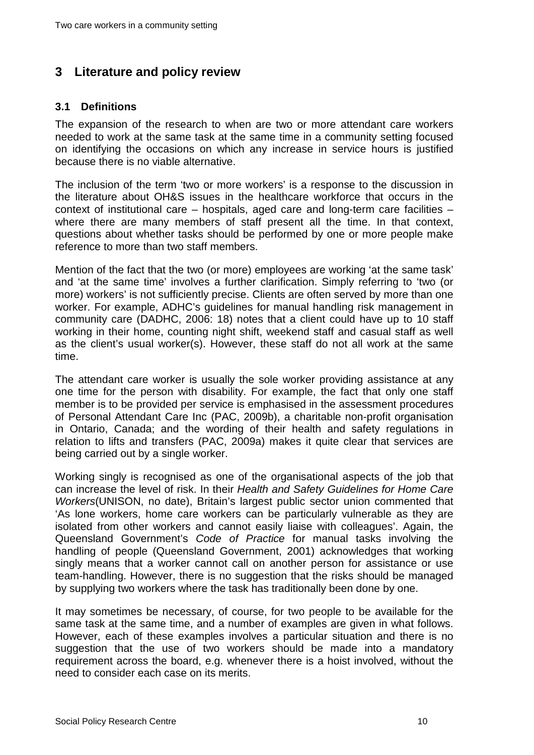## <span id="page-14-0"></span>**3 Literature and policy review**

#### <span id="page-14-1"></span>**3.1 Definitions**

The expansion of the research to when are two or more attendant care workers needed to work at the same task at the same time in a community setting focused on identifying the occasions on which any increase in service hours is justified because there is no viable alternative.

The inclusion of the term 'two or more workers' is a response to the discussion in the literature about OH&S issues in the healthcare workforce that occurs in the context of institutional care – hospitals, aged care and long-term care facilities – where there are many members of staff present all the time. In that context, questions about whether tasks should be performed by one or more people make reference to more than two staff members.

Mention of the fact that the two (or more) employees are working 'at the same task' and 'at the same time' involves a further clarification. Simply referring to 'two (or more) workers' is not sufficiently precise. Clients are often served by more than one worker. For example, ADHC's guidelines for manual handling risk management in community care (DADHC, 2006: 18) notes that a client could have up to 10 staff working in their home, counting night shift, weekend staff and casual staff as well as the client's usual worker(s). However, these staff do not all work at the same time.

The attendant care worker is usually the sole worker providing assistance at any one time for the person with disability. For example, the fact that only one staff member is to be provided per service is emphasised in the assessment procedures of Personal Attendant Care Inc (PAC, 2009b), a charitable non-profit organisation in Ontario, Canada; and the wording of their health and safety regulations in relation to lifts and transfers (PAC, 2009a) makes it quite clear that services are being carried out by a single worker.

Working singly is recognised as one of the organisational aspects of the job that can increase the level of risk. In their *Health and Safety Guidelines for Home Care Workers*(UNISON, no date), Britain's largest public sector union commented that 'As lone workers, home care workers can be particularly vulnerable as they are isolated from other workers and cannot easily liaise with colleagues'. Again, the Queensland Government's *Code of Practice* for manual tasks involving the handling of people (Queensland Government, 2001) acknowledges that working singly means that a worker cannot call on another person for assistance or use team-handling. However, there is no suggestion that the risks should be managed by supplying two workers where the task has traditionally been done by one.

It may sometimes be necessary, of course, for two people to be available for the same task at the same time, and a number of examples are given in what follows. However, each of these examples involves a particular situation and there is no suggestion that the use of two workers should be made into a mandatory requirement across the board, e.g. whenever there is a hoist involved, without the need to consider each case on its merits.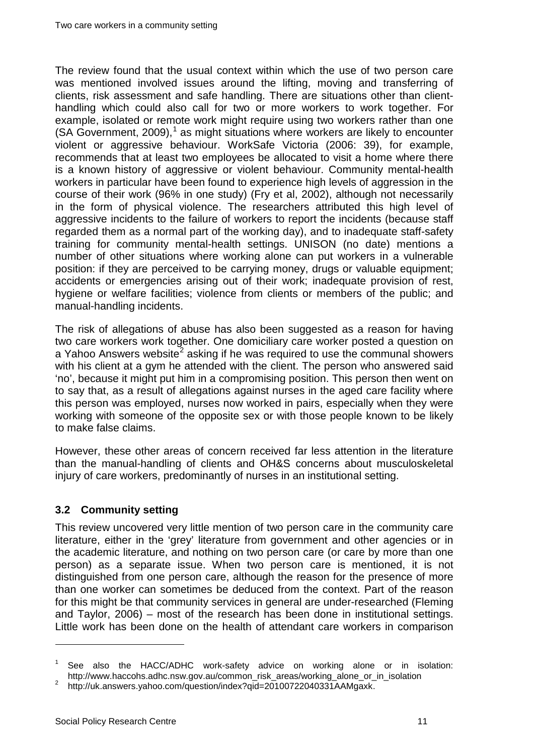The review found that the usual context within which the use of two person care was mentioned involved issues around the lifting, moving and transferring of clients, risk assessment and safe handling. There are situations other than clienthandling which could also call for two or more workers to work together. For example, isolated or remote work might require using two workers rather than one (SA Government,  $2009$ ),<sup>[1](#page-4-0)</sup> as might situations where workers are likely to encounter violent or aggressive behaviour. WorkSafe Victoria (2006: 39), for example, recommends that at least two employees be allocated to visit a home where there is a known history of aggressive or violent behaviour. Community mental-health workers in particular have been found to experience high levels of aggression in the course of their work (96% in one study) (Fry et al, 2002), although not necessarily in the form of physical violence. The researchers attributed this high level of aggressive incidents to the failure of workers to report the incidents (because staff regarded them as a normal part of the working day), and to inadequate staff-safety training for community mental-health settings. UNISON (no date) mentions a number of other situations where working alone can put workers in a vulnerable position: if they are perceived to be carrying money, drugs or valuable equipment; accidents or emergencies arising out of their work; inadequate provision of rest, hygiene or welfare facilities; violence from clients or members of the public; and manual-handling incidents.

The risk of allegations of abuse has also been suggested as a reason for having two care workers work together. One domiciliary care worker posted a question on a Yahoo Answers website<sup>[2](#page-15-1)</sup> asking if he was required to use the communal showers with his client at a gym he attended with the client. The person who answered said 'no', because it might put him in a compromising position. This person then went on to say that, as a result of allegations against nurses in the aged care facility where this person was employed, nurses now worked in pairs, especially when they were working with someone of the opposite sex or with those people known to be likely to make false claims.

However, these other areas of concern received far less attention in the literature than the manual-handling of clients and OH&S concerns about musculoskeletal injury of care workers, predominantly of nurses in an institutional setting.

#### <span id="page-15-0"></span>**3.2 Community setting**

This review uncovered very little mention of two person care in the community care literature, either in the 'grey' literature from government and other agencies or in the academic literature, and nothing on two person care (or care by more than one person) as a separate issue. When two person care is mentioned, it is not distinguished from one person care, although the reason for the presence of more than one worker can sometimes be deduced from the context. Part of the reason for this might be that community services in general are under-researched (Fleming and Taylor, 2006) – most of the research has been done in institutional settings. Little work has been done on the health of attendant care workers in comparison

<span id="page-15-2"></span><sup>&</sup>lt;sup>1</sup> See also the HACC/ADHC work-safety advice on working alone or in isolation: http://www.haccohs.adhc.nsw.gov.au/common\_risk\_areas/working\_alone\_or\_in\_isolation <sup>2</sup> http://uk.answers.yahoo.com/question/index?qid=20100722040331AAMgaxk.

<span id="page-15-1"></span>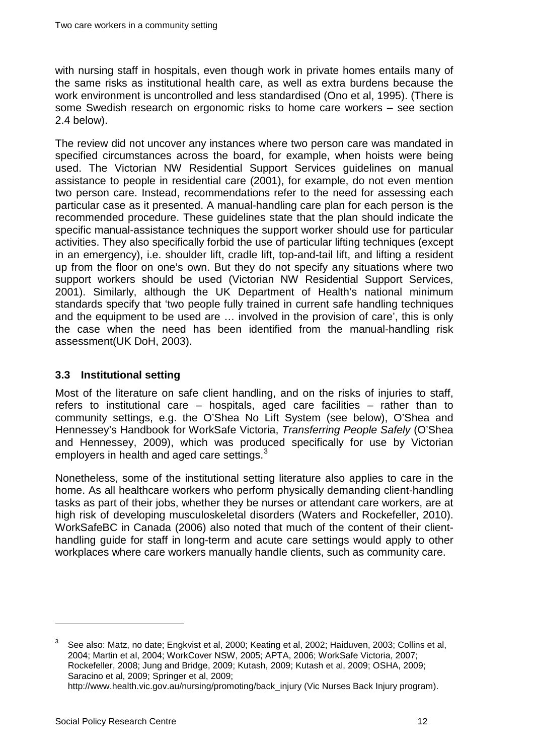with nursing staff in hospitals, even though work in private homes entails many of the same risks as institutional health care, as well as extra burdens because the work environment is uncontrolled and less standardised (Ono et al, 1995). (There is some Swedish research on ergonomic risks to home care workers – see section 2.4 below).

The review did not uncover any instances where two person care was mandated in specified circumstances across the board, for example, when hoists were being used. The Victorian NW Residential Support Services guidelines on manual assistance to people in residential care (2001), for example, do not even mention two person care. Instead, recommendations refer to the need for assessing each particular case as it presented. A manual-handling care plan for each person is the recommended procedure. These guidelines state that the plan should indicate the specific manual-assistance techniques the support worker should use for particular activities. They also specifically forbid the use of particular lifting techniques (except in an emergency), i.e. shoulder lift, cradle lift, top-and-tail lift, and lifting a resident up from the floor on one's own. But they do not specify any situations where two support workers should be used (Victorian NW Residential Support Services, 2001). Similarly, although the UK Department of Health's national minimum standards specify that 'two people fully trained in current safe handling techniques and the equipment to be used are … involved in the provision of care', this is only the case when the need has been identified from the manual-handling risk assessment(UK DoH, 2003).

#### <span id="page-16-0"></span>**3.3 Institutional setting**

Most of the literature on safe client handling, and on the risks of injuries to staff, refers to institutional care – hospitals, aged care facilities – rather than to community settings, e.g. the O'Shea No Lift System (see below), O'Shea and Hennessey's Handbook for WorkSafe Victoria, *Transferring People Safely* (O'Shea and Hennessey, 2009), which was produced specifically for use by Victorian employers in health and aged care settings.<sup>[3](#page-15-2)</sup>

Nonetheless, some of the institutional setting literature also applies to care in the home. As all healthcare workers who perform physically demanding client-handling tasks as part of their jobs, whether they be nurses or attendant care workers, are at high risk of developing musculoskeletal disorders (Waters and Rockefeller, 2010). WorkSafeBC in Canada (2006) also noted that much of the content of their clienthandling guide for staff in long-term and acute care settings would apply to other workplaces where care workers manually handle clients, such as community care.

<span id="page-16-1"></span><sup>3</sup> See also: Matz, no date; Engkvist et al, 2000; Keating et al, 2002; Haiduven, 2003; Collins et al, 2004; Martin et al, 2004; WorkCover NSW, 2005; APTA, 2006; WorkSafe Victoria, 2007; Rockefeller, 2008; Jung and Bridge, 2009; Kutash, 2009; Kutash et al, 2009; OSHA, 2009; Saracino et al, 2009; Springer et al, 2009; http://www.health.vic.gov.au/nursing/promoting/back\_injury (Vic Nurses Back Injury program).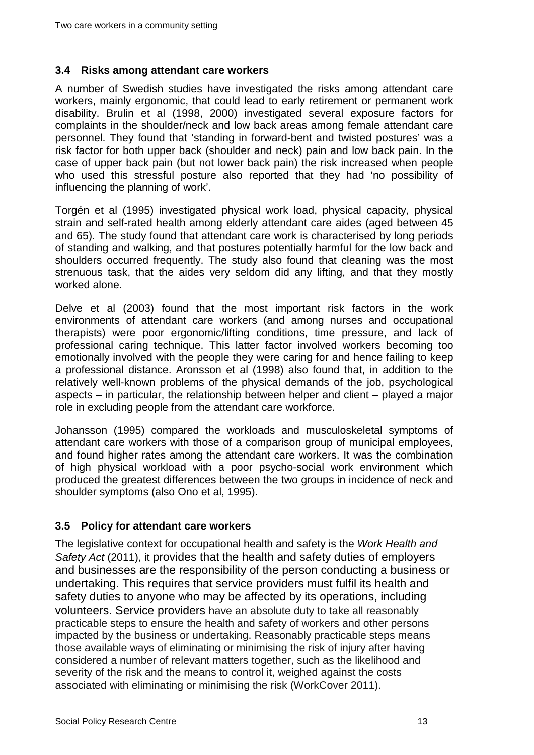#### <span id="page-17-0"></span>**3.4 Risks among attendant care workers**

A number of Swedish studies have investigated the risks among attendant care workers, mainly ergonomic, that could lead to early retirement or permanent work disability. Brulin et al (1998, 2000) investigated several exposure factors for complaints in the shoulder/neck and low back areas among female attendant care personnel. They found that 'standing in forward-bent and twisted postures' was a risk factor for both upper back (shoulder and neck) pain and low back pain. In the case of upper back pain (but not lower back pain) the risk increased when people who used this stressful posture also reported that they had 'no possibility of influencing the planning of work'.

Torgén et al (1995) investigated physical work load, physical capacity, physical strain and self-rated health among elderly attendant care aides (aged between 45 and 65). The study found that attendant care work is characterised by long periods of standing and walking, and that postures potentially harmful for the low back and shoulders occurred frequently. The study also found that cleaning was the most strenuous task, that the aides very seldom did any lifting, and that they mostly worked alone.

Delve et al (2003) found that the most important risk factors in the work environments of attendant care workers (and among nurses and occupational therapists) were poor ergonomic/lifting conditions, time pressure, and lack of professional caring technique. This latter factor involved workers becoming too emotionally involved with the people they were caring for and hence failing to keep a professional distance. Aronsson et al (1998) also found that, in addition to the relatively well-known problems of the physical demands of the job, psychological aspects – in particular, the relationship between helper and client – played a major role in excluding people from the attendant care workforce.

Johansson (1995) compared the workloads and musculoskeletal symptoms of attendant care workers with those of a comparison group of municipal employees, and found higher rates among the attendant care workers. It was the combination of high physical workload with a poor psycho-social work environment which produced the greatest differences between the two groups in incidence of neck and shoulder symptoms (also Ono et al, 1995).

#### <span id="page-17-1"></span>**3.5 Policy for attendant care workers**

The legislative context for occupational health and safety is the *Work Health and Safety Act* (2011), it provides that the health and safety duties of employers and businesses are the responsibility of the person conducting a business or undertaking. This requires that service providers must fulfil its health and safety duties to anyone who may be affected by its operations, including volunteers. Service providers have an absolute duty to take all reasonably practicable steps to ensure the health and safety of workers and other persons impacted by the business or undertaking. Reasonably practicable steps means those available ways of eliminating or minimising the risk of injury after having considered a number of relevant matters together, such as the likelihood and severity of the risk and the means to control it, weighed against the costs associated with eliminating or minimising the risk (WorkCover 2011).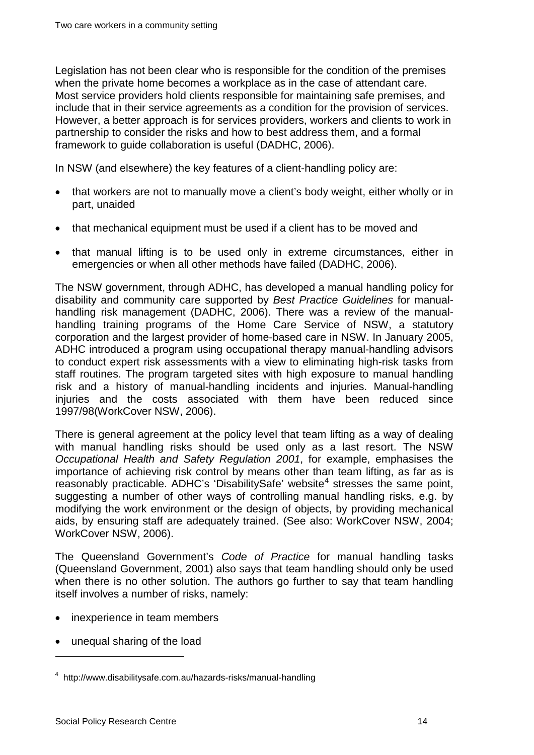Legislation has not been clear who is responsible for the condition of the premises when the private home becomes a workplace as in the case of attendant care. Most service providers hold clients responsible for maintaining safe premises, and include that in their service agreements as a condition for the provision of services. However, a better approach is for services providers, workers and clients to work in partnership to consider the risks and how to best address them, and a formal framework to guide collaboration is useful (DADHC, 2006).

In NSW (and elsewhere) the key features of a client-handling policy are:

- that workers are not to manually move a client's body weight, either wholly or in part, unaided
- that mechanical equipment must be used if a client has to be moved and
- that manual lifting is to be used only in extreme circumstances, either in emergencies or when all other methods have failed (DADHC, 2006).

The NSW government, through ADHC, has developed a manual handling policy for disability and community care supported by *Best Practice Guidelines* for manualhandling risk management (DADHC, 2006). There was a review of the manualhandling training programs of the Home Care Service of NSW, a statutory corporation and the largest provider of home-based care in NSW. In January 2005, ADHC introduced a program using occupational therapy manual-handling advisors to conduct expert risk assessments with a view to eliminating high-risk tasks from staff routines. The program targeted sites with high exposure to manual handling risk and a history of manual-handling incidents and injuries. Manual-handling injuries and the costs associated with them have been reduced since 1997/98(WorkCover NSW, 2006).

There is general agreement at the policy level that team lifting as a way of dealing with manual handling risks should be used only as a last resort. The NSW *Occupational Health and Safety Regulation 2001*, for example, emphasises the importance of achieving risk control by means other than team lifting, as far as is reasonably practicable. ADHC's 'DisabilitySafe' website<sup>[4](#page-16-1)</sup> stresses the same point, suggesting a number of other ways of controlling manual handling risks, e.g. by modifying the work environment or the design of objects, by providing mechanical aids, by ensuring staff are adequately trained. (See also: WorkCover NSW, 2004; WorkCover NSW, 2006).

The Queensland Government's *Code of Practice* for manual handling tasks (Queensland Government, 2001) also says that team handling should only be used when there is no other solution. The authors go further to say that team handling itself involves a number of risks, namely:

- inexperience in team members
- unequal sharing of the load

<span id="page-18-0"></span><sup>4</sup> http://www.disabilitysafe.com.au/hazards-risks/manual-handling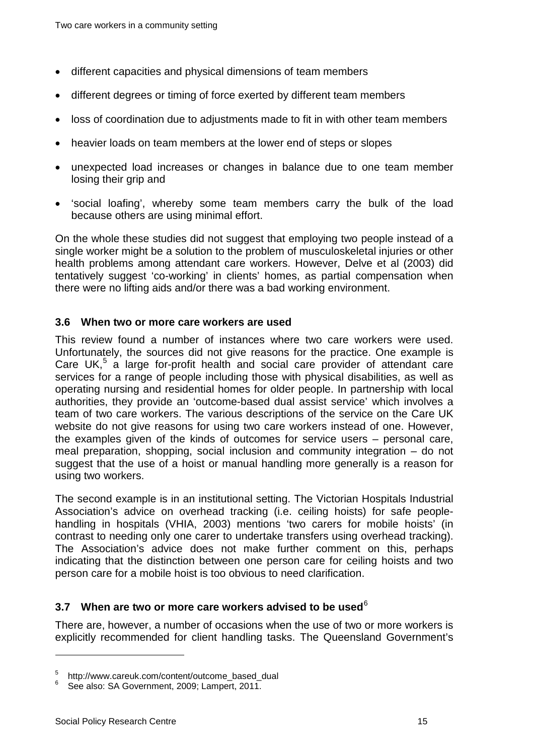- different capacities and physical dimensions of team members
- different degrees or timing of force exerted by different team members
- loss of coordination due to adjustments made to fit in with other team members
- heavier loads on team members at the lower end of steps or slopes
- unexpected load increases or changes in balance due to one team member losing their grip and
- 'social loafing', whereby some team members carry the bulk of the load because others are using minimal effort.

On the whole these studies did not suggest that employing two people instead of a single worker might be a solution to the problem of musculoskeletal injuries or other health problems among attendant care workers. However, Delve et al (2003) did tentatively suggest 'co-working' in clients' homes, as partial compensation when there were no lifting aids and/or there was a bad working environment.

#### <span id="page-19-0"></span>**3.6 When two or more care workers are used**

This review found a number of instances where two care workers were used. Unfortunately, the sources did not give reasons for the practice. One example is Care UK, $<sup>5</sup>$  $<sup>5</sup>$  $<sup>5</sup>$  a large for-profit health and social care provider of attendant care</sup> services for a range of people including those with physical disabilities, as well as operating nursing and residential homes for older people. In partnership with local authorities, they provide an 'outcome-based dual assist service' which involves a team of two care workers. The various descriptions of the service on the Care UK website do not give reasons for using two care workers instead of one. However, the examples given of the kinds of outcomes for service users – personal care, meal preparation, shopping, social inclusion and community integration – do not suggest that the use of a hoist or manual handling more generally is a reason for using two workers.

The second example is in an institutional setting. The Victorian Hospitals Industrial Association's advice on overhead tracking (i.e. ceiling hoists) for safe peoplehandling in hospitals (VHIA, 2003) mentions 'two carers for mobile hoists' (in contrast to needing only one carer to undertake transfers using overhead tracking). The Association's advice does not make further comment on this, perhaps indicating that the distinction between one person care for ceiling hoists and two person care for a mobile hoist is too obvious to need clarification.

#### <span id="page-19-1"></span>**3.7 When are two or more care workers advised to be used**[6](#page-19-2)

There are, however, a number of occasions when the use of two or more workers is explicitly recommended for client handling tasks. The Queensland Government's

 $5$  http://www.careuk.com/content/outcome\_based\_dual 6 See also: SA Government, 2009; Lampert, 2011.

<span id="page-19-2"></span>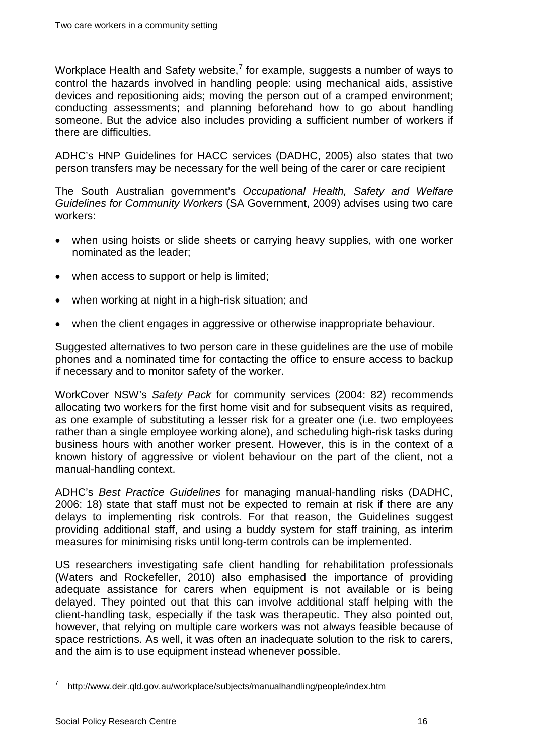Workplace Health and Safety website, $^7$  $^7$  for example, suggests a number of ways to control the hazards involved in handling people: using mechanical aids, assistive devices and repositioning aids; moving the person out of a cramped environment; conducting assessments; and planning beforehand how to go about handling someone. But the advice also includes providing a sufficient number of workers if there are difficulties.

ADHC's HNP Guidelines for HACC services (DADHC, 2005) also states that two person transfers may be necessary for the well being of the carer or care recipient

The South Australian government's *Occupational Health, Safety and Welfare Guidelines for Community Workers* (SA Government, 2009) advises using two care workers:

- when using hoists or slide sheets or carrying heavy supplies, with one worker nominated as the leader;
- when access to support or help is limited;
- when working at night in a high-risk situation; and
- when the client engages in aggressive or otherwise inappropriate behaviour.

Suggested alternatives to two person care in these guidelines are the use of mobile phones and a nominated time for contacting the office to ensure access to backup if necessary and to monitor safety of the worker.

WorkCover NSW's *Safety Pack* for community services (2004: 82) recommends allocating two workers for the first home visit and for subsequent visits as required, as one example of substituting a lesser risk for a greater one (i.e. two employees rather than a single employee working alone), and scheduling high-risk tasks during business hours with another worker present. However, this is in the context of a known history of aggressive or violent behaviour on the part of the client, not a manual-handling context.

ADHC's *Best Practice Guidelines* for managing manual-handling risks (DADHC, 2006: 18) state that staff must not be expected to remain at risk if there are any delays to implementing risk controls. For that reason, the Guidelines suggest providing additional staff, and using a buddy system for staff training, as interim measures for minimising risks until long-term controls can be implemented.

US researchers investigating safe client handling for rehabilitation professionals (Waters and Rockefeller, 2010) also emphasised the importance of providing adequate assistance for carers when equipment is not available or is being delayed. They pointed out that this can involve additional staff helping with the client-handling task, especially if the task was therapeutic. They also pointed out, however, that relying on multiple care workers was not always feasible because of space restrictions. As well, it was often an inadequate solution to the risk to carers, and the aim is to use equipment instead whenever possible.

<span id="page-20-0"></span><sup>7</sup> http://www.deir.qld.gov.au/workplace/subjects/manualhandling/people/index.htm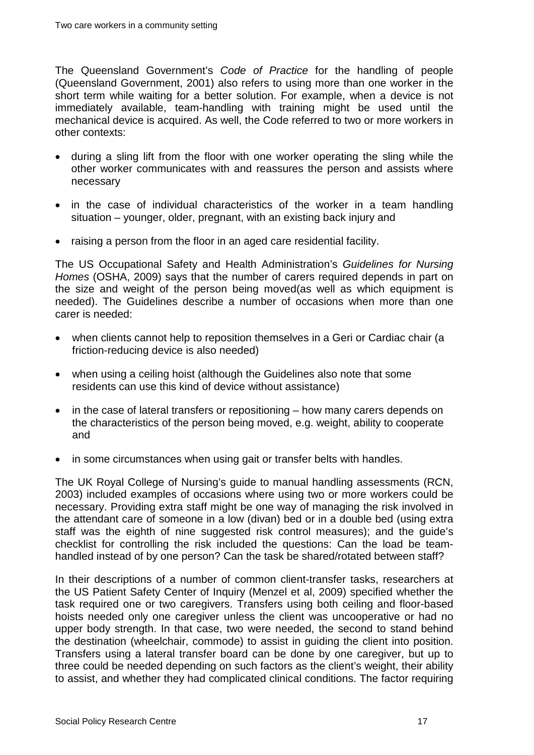The Queensland Government's *Code of Practice* for the handling of people (Queensland Government, 2001) also refers to using more than one worker in the short term while waiting for a better solution. For example, when a device is not immediately available, team-handling with training might be used until the mechanical device is acquired. As well, the Code referred to two or more workers in other contexts:

- during a sling lift from the floor with one worker operating the sling while the other worker communicates with and reassures the person and assists where necessary
- in the case of individual characteristics of the worker in a team handling situation – younger, older, pregnant, with an existing back injury and
- raising a person from the floor in an aged care residential facility.

The US Occupational Safety and Health Administration's *Guidelines for Nursing Homes* (OSHA, 2009) says that the number of carers required depends in part on the size and weight of the person being moved(as well as which equipment is needed). The Guidelines describe a number of occasions when more than one carer is needed:

- when clients cannot help to reposition themselves in a Geri or Cardiac chair (a friction-reducing device is also needed)
- when using a ceiling hoist (although the Guidelines also note that some residents can use this kind of device without assistance)
- in the case of lateral transfers or repositioning how many carers depends on the characteristics of the person being moved, e.g. weight, ability to cooperate and
- in some circumstances when using gait or transfer belts with handles.

The UK Royal College of Nursing's guide to manual handling assessments (RCN, 2003) included examples of occasions where using two or more workers could be necessary. Providing extra staff might be one way of managing the risk involved in the attendant care of someone in a low (divan) bed or in a double bed (using extra staff was the eighth of nine suggested risk control measures); and the guide's checklist for controlling the risk included the questions: Can the load be teamhandled instead of by one person? Can the task be shared/rotated between staff?

In their descriptions of a number of common client-transfer tasks, researchers at the US Patient Safety Center of Inquiry (Menzel et al, 2009) specified whether the task required one or two caregivers. Transfers using both ceiling and floor-based hoists needed only one caregiver unless the client was uncooperative or had no upper body strength. In that case, two were needed, the second to stand behind the destination (wheelchair, commode) to assist in guiding the client into position. Transfers using a lateral transfer board can be done by one caregiver, but up to three could be needed depending on such factors as the client's weight, their ability to assist, and whether they had complicated clinical conditions. The factor requiring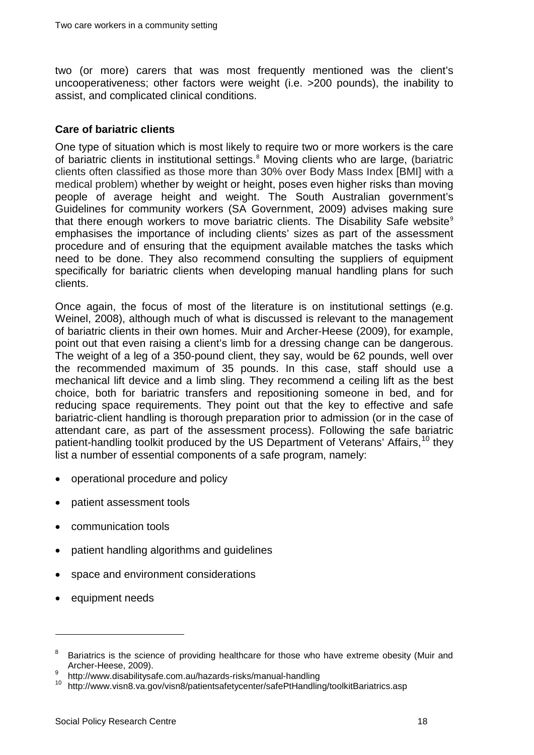two (or more) carers that was most frequently mentioned was the client's uncooperativeness; other factors were weight (i.e. >200 pounds), the inability to assist, and complicated clinical conditions.

#### <span id="page-22-0"></span>**Care of bariatric clients**

One type of situation which is most likely to require two or more workers is the care of bariatric clients in institutional settings.<sup>[8](#page-20-0)</sup> Moving clients who are large, (bariatric clients often classified as those more than 30% over Body Mass Index [BMI] with a medical problem) whether by weight or height, poses even higher risks than moving people of average height and weight. The South Australian government's Guidelines for community workers (SA Government, 2009) advises making sure that there enough workers to move bariatric clients. The Disability Safe website<sup>[9](#page-22-1)</sup> emphasises the importance of including clients' sizes as part of the assessment procedure and of ensuring that the equipment available matches the tasks which need to be done. They also recommend consulting the suppliers of equipment specifically for bariatric clients when developing manual handling plans for such clients.

Once again, the focus of most of the literature is on institutional settings (e.g. Weinel, 2008), although much of what is discussed is relevant to the management of bariatric clients in their own homes. Muir and Archer-Heese (2009), for example, point out that even raising a client's limb for a dressing change can be dangerous. The weight of a leg of a 350-pound client, they say, would be 62 pounds, well over the recommended maximum of 35 pounds. In this case, staff should use a mechanical lift device and a limb sling. They recommend a ceiling lift as the best choice, both for bariatric transfers and repositioning someone in bed, and for reducing space requirements. They point out that the key to effective and safe bariatric-client handling is thorough preparation prior to admission (or in the case of attendant care, as part of the assessment process). Following the safe bariatric patient-handling toolkit produced by the US Department of Veterans' Affairs.<sup>[10](#page-22-2)</sup> they list a number of essential components of a safe program, namely:

- operational procedure and policy
- patient assessment tools
- communication tools
- patient handling algorithms and guidelines
- space and environment considerations
- equipment needs

<sup>&</sup>lt;sup>8</sup> Bariatrics is the science of providing healthcare for those who have extreme obesity (Muir and Archer-Heese, 2009).<br>
9 http://www.disabilitysafe.com.au/hazards-risks/manual-handling<br>
10 http://www.visn8.va.gov/visn8/patientsafetycenter/safePtHandling/toolkitBariatrics.asp

<span id="page-22-1"></span>

<span id="page-22-2"></span>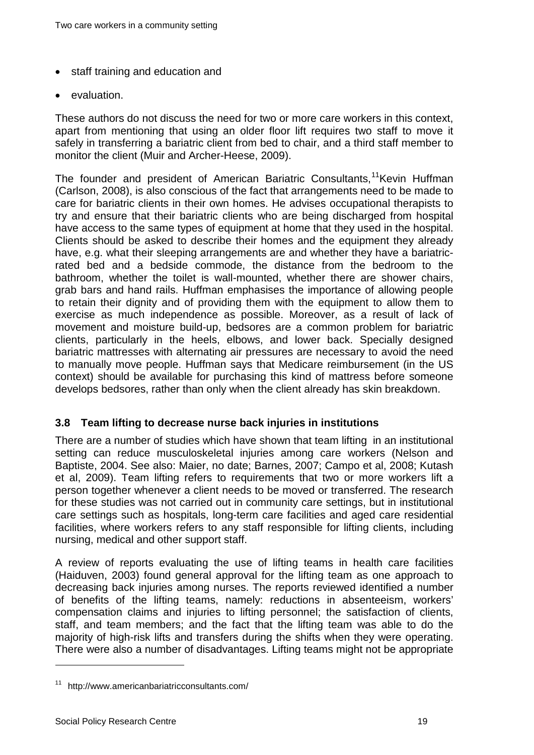- staff training and education and
- evaluation.

These authors do not discuss the need for two or more care workers in this context, apart from mentioning that using an older floor lift requires two staff to move it safely in transferring a bariatric client from bed to chair, and a third staff member to monitor the client (Muir and Archer-Heese, 2009).

The founder and president of American Bariatric Consultants.<sup>[11](#page-22-2)</sup>Kevin Huffman (Carlson, 2008), is also conscious of the fact that arrangements need to be made to care for bariatric clients in their own homes. He advises occupational therapists to try and ensure that their bariatric clients who are being discharged from hospital have access to the same types of equipment at home that they used in the hospital. Clients should be asked to describe their homes and the equipment they already have, e.g. what their sleeping arrangements are and whether they have a bariatricrated bed and a bedside commode, the distance from the bedroom to the bathroom, whether the toilet is wall-mounted, whether there are shower chairs, grab bars and hand rails. Huffman emphasises the importance of allowing people to retain their dignity and of providing them with the equipment to allow them to exercise as much independence as possible. Moreover, as a result of lack of movement and moisture build-up, bedsores are a common problem for bariatric clients, particularly in the heels, elbows, and lower back. Specially designed bariatric mattresses with alternating air pressures are necessary to avoid the need to manually move people. Huffman says that Medicare reimbursement (in the US context) should be available for purchasing this kind of mattress before someone develops bedsores, rather than only when the client already has skin breakdown.

#### <span id="page-23-0"></span>**3.8 Team lifting to decrease nurse back injuries in institutions**

There are a number of studies which have shown that team lifting in an institutional setting can reduce musculoskeletal injuries among care workers (Nelson and Baptiste, 2004. See also: Maier, no date; Barnes, 2007; Campo et al, 2008; Kutash et al, 2009). Team lifting refers to requirements that two or more workers lift a person together whenever a client needs to be moved or transferred. The research for these studies was not carried out in community care settings, but in institutional care settings such as hospitals, long-term care facilities and aged care residential facilities, where workers refers to any staff responsible for lifting clients, including nursing, medical and other support staff.

A review of reports evaluating the use of lifting teams in health care facilities (Haiduven, 2003) found general approval for the lifting team as one approach to decreasing back injuries among nurses. The reports reviewed identified a number of benefits of the lifting teams, namely: reductions in absenteeism, workers' compensation claims and injuries to lifting personnel; the satisfaction of clients, staff, and team members; and the fact that the lifting team was able to do the majority of high-risk lifts and transfers during the shifts when they were operating. There were also a number of disadvantages. Lifting teams might not be appropriate

<span id="page-23-1"></span><sup>11</sup> http://www.americanbariatricconsultants.com/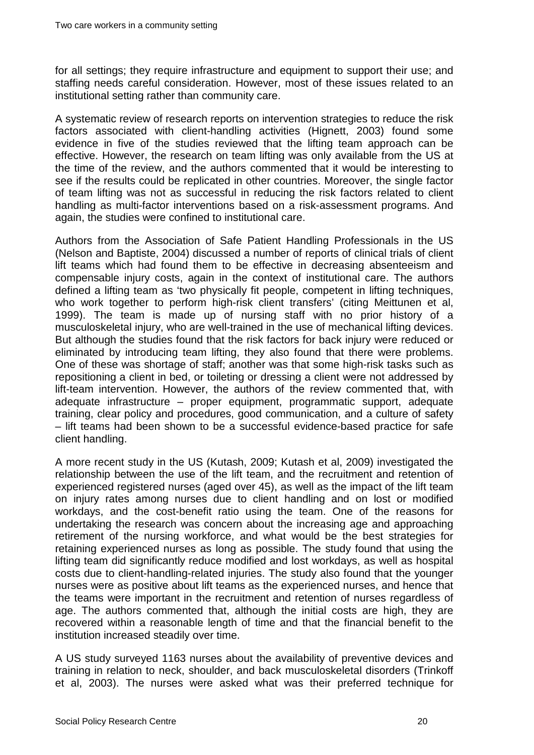for all settings; they require infrastructure and equipment to support their use; and staffing needs careful consideration. However, most of these issues related to an institutional setting rather than community care.

A systematic review of research reports on intervention strategies to reduce the risk factors associated with client-handling activities (Hignett, 2003) found some evidence in five of the studies reviewed that the lifting team approach can be effective. However, the research on team lifting was only available from the US at the time of the review, and the authors commented that it would be interesting to see if the results could be replicated in other countries. Moreover, the single factor of team lifting was not as successful in reducing the risk factors related to client handling as multi-factor interventions based on a risk-assessment programs. And again, the studies were confined to institutional care.

Authors from the Association of Safe Patient Handling Professionals in the US (Nelson and Baptiste, 2004) discussed a number of reports of clinical trials of client lift teams which had found them to be effective in decreasing absenteeism and compensable injury costs, again in the context of institutional care. The authors defined a lifting team as 'two physically fit people, competent in lifting techniques, who work together to perform high-risk client transfers' (citing Meittunen et al, 1999). The team is made up of nursing staff with no prior history of a musculoskeletal injury, who are well-trained in the use of mechanical lifting devices. But although the studies found that the risk factors for back injury were reduced or eliminated by introducing team lifting, they also found that there were problems. One of these was shortage of staff; another was that some high-risk tasks such as repositioning a client in bed, or toileting or dressing a client were not addressed by lift-team intervention. However, the authors of the review commented that, with adequate infrastructure – proper equipment, programmatic support, adequate training, clear policy and procedures, good communication, and a culture of safety – lift teams had been shown to be a successful evidence-based practice for safe client handling.

A more recent study in the US (Kutash, 2009; [Kutash et](http://www.ncbi.nlm.nih.gov/pubmed?term=%2522Kutash%20M%2522%255BAuthor%255D) al, 2009) investigated the relationship between the use of the lift team, and the recruitment and retention of experienced registered nurses (aged over 45), as well as the impact of the lift team on injury rates among nurses due to client handling and on lost or modified workdays, and the cost-benefit ratio using the team. One of the reasons for undertaking the research was concern about the increasing age and approaching retirement of the nursing workforce, and what would be the best strategies for retaining experienced nurses as long as possible. The study found that using the lifting team did significantly reduce modified and lost workdays, as well as hospital costs due to client-handling-related injuries. The study also found that the younger nurses were as positive about lift teams as the experienced nurses, and hence that the teams were important in the recruitment and retention of nurses regardless of age. The authors commented that, although the initial costs are high, they are recovered within a reasonable length of time and that the financial benefit to the institution increased steadily over time.

A US study surveyed 1163 nurses about the availability of preventive devices and training in relation to neck, shoulder, and back musculoskeletal disorders (Trinkoff et al, 2003). The nurses were asked what was their preferred technique for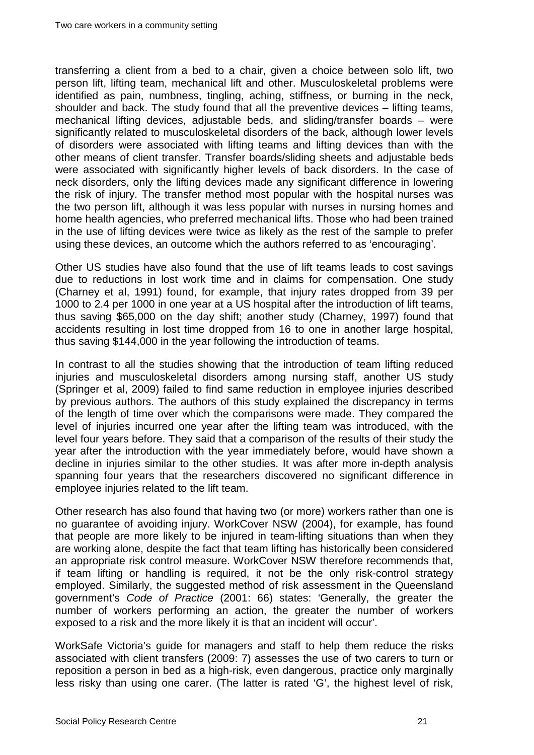transferring a client from a bed to a chair, given a choice between solo lift, two person lift, lifting team, mechanical lift and other. Musculoskeletal problems were identified as pain, numbness, tingling, aching, stiffness, or burning in the neck, shoulder and back. The study found that all the preventive devices – lifting teams, mechanical lifting devices, adjustable beds, and sliding/transfer boards – were significantly related to musculoskeletal disorders of the back, although lower levels of disorders were associated with lifting teams and lifting devices than with the other means of client transfer. Transfer boards/sliding sheets and adjustable beds were associated with significantly higher levels of back disorders. In the case of neck disorders, only the lifting devices made any significant difference in lowering the risk of injury. The transfer method most popular with the hospital nurses was the two person lift, although it was less popular with nurses in nursing homes and home health agencies, who preferred mechanical lifts. Those who had been trained in the use of lifting devices were twice as likely as the rest of the sample to prefer using these devices, an outcome which the authors referred to as 'encouraging'.

Other US studies have also found that the use of lift teams leads to cost savings due to reductions in lost work time and in claims for compensation. One study (Charney et al, 1991) found, for example, that injury rates dropped from 39 per 1000 to 2.4 per 1000 in one year at a US hospital after the introduction of lift teams, thus saving \$65,000 on the day shift; another study (Charney, 1997) found that accidents resulting in lost time dropped from 16 to one in another large hospital, thus saving \$144,000 in the year following the introduction of teams.

In contrast to all the studies showing that the introduction of team lifting reduced injuries and musculoskeletal disorders among nursing staff, another US study (Springer et al, 2009) failed to find same reduction in employee injuries described by previous authors. The authors of this study explained the discrepancy in terms of the length of time over which the comparisons were made. They compared the level of injuries incurred one year after the lifting team was introduced, with the level four years before. They said that a comparison of the results of their study the year after the introduction with the year immediately before, would have shown a decline in injuries similar to the other studies. It was after more in-depth analysis spanning four years that the researchers discovered no significant difference in employee injuries related to the lift team.

Other research has also found that having two (or more) workers rather than one is no guarantee of avoiding injury. WorkCover NSW (2004), for example, has found that people are more likely to be injured in team-lifting situations than when they are working alone, despite the fact that team lifting has historically been considered an appropriate risk control measure. WorkCover NSW therefore recommends that, if team lifting or handling is required, it not be the only risk-control strategy employed. Similarly, the suggested method of risk assessment in the Queensland government's *Code of Practice* (2001: 66) states: 'Generally, the greater the number of workers performing an action, the greater the number of workers exposed to a risk and the more likely it is that an incident will occur'.

WorkSafe Victoria's guide for managers and staff to help them reduce the risks associated with client transfers (2009: 7) assesses the use of two carers to turn or reposition a person in bed as a high-risk, even dangerous, practice only marginally less risky than using one carer. (The latter is rated 'G', the highest level of risk,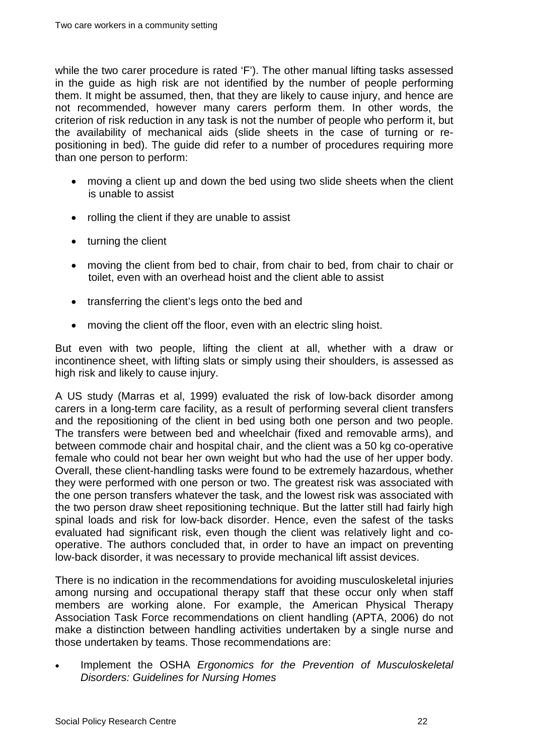while the two carer procedure is rated 'F'). The other manual lifting tasks assessed in the guide as high risk are not identified by the number of people performing them. It might be assumed, then, that they are likely to cause injury, and hence are not recommended, however many carers perform them. In other words, the criterion of risk reduction in any task is not the number of people who perform it, but the availability of mechanical aids (slide sheets in the case of turning or repositioning in bed). The guide did refer to a number of procedures requiring more than one person to perform:

- moving a client up and down the bed using two slide sheets when the client is unable to assist
- rolling the client if they are unable to assist
- turning the client
- moving the client from bed to chair, from chair to bed, from chair to chair or toilet, even with an overhead hoist and the client able to assist
- transferring the client's legs onto the bed and
- moving the client off the floor, even with an electric sling hoist.

But even with two people, lifting the client at all, whether with a draw or incontinence sheet, with lifting slats or simply using their shoulders, is assessed as high risk and likely to cause injury.

A US study (Marras et al, 1999) evaluated the risk of low-back disorder among carers in a long-term care facility, as a result of performing several client transfers and the repositioning of the client in bed using both one person and two people. The transfers were between bed and wheelchair (fixed and removable arms), and between commode chair and hospital chair, and the client was a 50 kg co-operative female who could not bear her own weight but who had the use of her upper body. Overall, these client-handling tasks were found to be extremely hazardous, whether they were performed with one person or two. The greatest risk was associated with the one person transfers whatever the task, and the lowest risk was associated with the two person draw sheet repositioning technique. But the latter still had fairly high spinal loads and risk for low-back disorder. Hence, even the safest of the tasks evaluated had significant risk, even though the client was relatively light and cooperative. The authors concluded that, in order to have an impact on preventing low-back disorder, it was necessary to provide mechanical lift assist devices.

There is no indication in the recommendations for avoiding musculoskeletal injuries among nursing and occupational therapy staff that these occur only when staff members are working alone. For example, the American Physical Therapy Association Task Force recommendations on client handling (APTA, 2006) do not make a distinction between handling activities undertaken by a single nurse and those undertaken by teams. Those recommendations are:

• Implement the OSHA *Ergonomics for the Prevention of Musculoskeletal Disorders: Guidelines for Nursing Homes*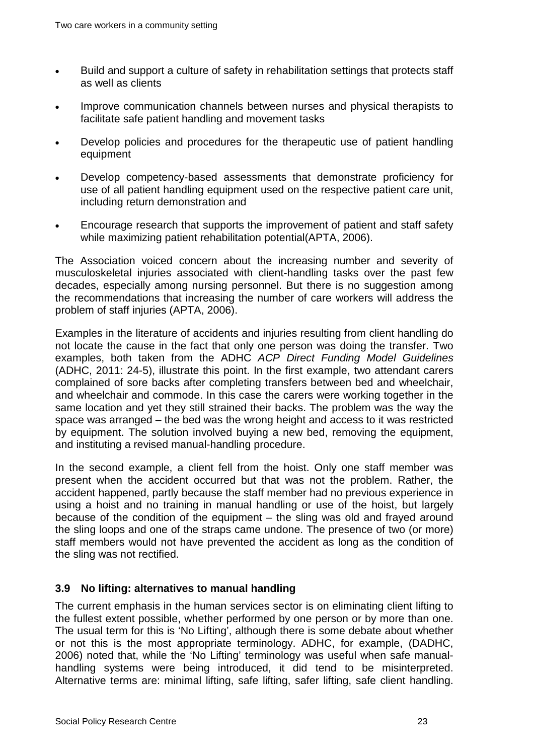- Build and support a culture of safety in rehabilitation settings that protects staff as well as clients
- Improve communication channels between nurses and physical therapists to facilitate safe patient handling and movement tasks
- Develop policies and procedures for the therapeutic use of patient handling equipment
- Develop competency-based assessments that demonstrate proficiency for use of all patient handling equipment used on the respective patient care unit, including return demonstration and
- Encourage research that supports the improvement of patient and staff safety while maximizing patient rehabilitation potential(APTA, 2006).

The Association voiced concern about the increasing number and severity of musculoskeletal injuries associated with client-handling tasks over the past few decades, especially among nursing personnel. But there is no suggestion among the recommendations that increasing the number of care workers will address the problem of staff injuries (APTA, 2006).

Examples in the literature of accidents and injuries resulting from client handling do not locate the cause in the fact that only one person was doing the transfer. Two examples, both taken from the ADHC *ACP Direct Funding Model Guidelines* (ADHC, 2011: 24-5), illustrate this point. In the first example, two attendant carers complained of sore backs after completing transfers between bed and wheelchair, and wheelchair and commode. In this case the carers were working together in the same location and yet they still strained their backs. The problem was the way the space was arranged – the bed was the wrong height and access to it was restricted by equipment. The solution involved buying a new bed, removing the equipment, and instituting a revised manual-handling procedure.

In the second example, a client fell from the hoist. Only one staff member was present when the accident occurred but that was not the problem. Rather, the accident happened, partly because the staff member had no previous experience in using a hoist and no training in manual handling or use of the hoist, but largely because of the condition of the equipment – the sling was old and frayed around the sling loops and one of the straps came undone. The presence of two (or more) staff members would not have prevented the accident as long as the condition of the sling was not rectified.

#### <span id="page-27-0"></span>**3.9 No lifting: alternatives to manual handling**

The current emphasis in the human services sector is on eliminating client lifting to the fullest extent possible, whether performed by one person or by more than one. The usual term for this is 'No Lifting', although there is some debate about whether or not this is the most appropriate terminology. ADHC, for example, (DADHC, 2006) noted that, while the 'No Lifting' terminology was useful when safe manualhandling systems were being introduced, it did tend to be misinterpreted. Alternative terms are: minimal lifting, safe lifting, safer lifting, safe client handling.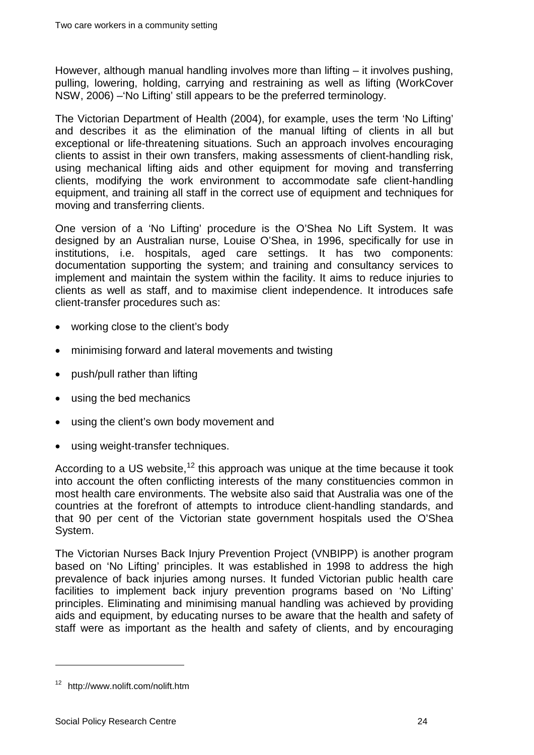However, although manual handling involves more than lifting – it involves pushing, pulling, lowering, holding, carrying and restraining as well as lifting (WorkCover NSW, 2006) –'No Lifting' still appears to be the preferred terminology.

The Victorian Department of Health (2004), for example, uses the term 'No Lifting' and describes it as the elimination of the manual lifting of clients in all but exceptional or life-threatening situations. Such an approach involves encouraging clients to assist in their own transfers, making assessments of client-handling risk, using mechanical lifting aids and other equipment for moving and transferring clients, modifying the work environment to accommodate safe client-handling equipment, and training all staff in the correct use of equipment and techniques for moving and transferring clients.

One version of a 'No Lifting' procedure is the O'Shea No Lift System. It was designed by an Australian nurse, Louise O'Shea, in 1996, specifically for use in institutions, i.e. hospitals, aged care settings. It has two components: documentation supporting the system; and training and consultancy services to implement and maintain the system within the facility. It aims to reduce injuries to clients as well as staff, and to maximise client independence. It introduces safe client-transfer procedures such as:

- working close to the client's body
- minimising forward and lateral movements and twisting
- push/pull rather than lifting
- using the bed mechanics
- using the client's own body movement and
- using weight-transfer techniques.

According to a US website,  $12$  this approach was unique at the time because it took into account the often conflicting interests of the many constituencies common in most health care environments. The website also said that Australia was one of the countries at the forefront of attempts to introduce client-handling standards, and that 90 per cent of the Victorian state government hospitals used the O'Shea System.

The Victorian Nurses Back Injury Prevention Project (VNBIPP) is another program based on 'No Lifting' principles. It was established in 1998 to address the high prevalence of back injuries among nurses. It funded Victorian public health care facilities to implement back injury prevention programs based on 'No Lifting' principles. Eliminating and minimising manual handling was achieved by providing aids and equipment, by educating nurses to be aware that the health and safety of staff were as important as the health and safety of clients, and by encouraging

<span id="page-28-0"></span><sup>12</sup> http://www.nolift.com/nolift.htm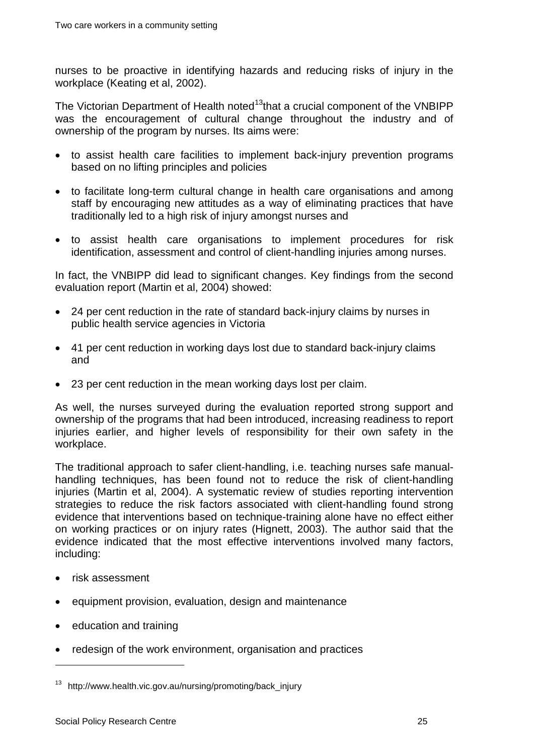nurses to be proactive in identifying hazards and reducing risks of injury in the workplace (Keating et al, 2002).

The Victorian Department of Health noted<sup>[13](#page-28-0)</sup>that a crucial component of the VNBIPP was the encouragement of cultural change throughout the industry and of ownership of the program by nurses. Its aims were:

- to assist health care facilities to implement back-injury prevention programs based on no lifting principles and policies
- to facilitate long-term cultural change in health care organisations and among staff by encouraging new attitudes as a way of eliminating practices that have traditionally led to a high risk of injury amongst nurses and
- to assist health care organisations to implement procedures for risk identification, assessment and control of client-handling injuries among nurses.

In fact, the VNBIPP did lead to significant changes. Key findings from the second evaluation report (Martin et al, 2004) showed:

- 24 per cent reduction in the rate of standard back-injury claims by nurses in public health service agencies in Victoria
- 41 per cent reduction in working days lost due to standard back-injury claims and
- 23 per cent reduction in the mean working days lost per claim.

As well, the nurses surveyed during the evaluation reported strong support and ownership of the programs that had been introduced, increasing readiness to report injuries earlier, and higher levels of responsibility for their own safety in the workplace.

The traditional approach to safer client-handling, i.e. teaching nurses safe manualhandling techniques, has been found not to reduce the risk of client-handling injuries (Martin et al, 2004). A systematic review of studies reporting intervention strategies to reduce the risk factors associated with client-handling found strong evidence that interventions based on technique-training alone have no effect either on working practices or on injury rates (Hignett, 2003). The author said that the evidence indicated that the most effective interventions involved many factors, including:

• risk assessment

- equipment provision, evaluation, design and maintenance
- education and training
- <span id="page-29-0"></span>• redesign of the work environment, organisation and practices

 $13$  http://www.health.vic.gov.au/nursing/promoting/back\_injury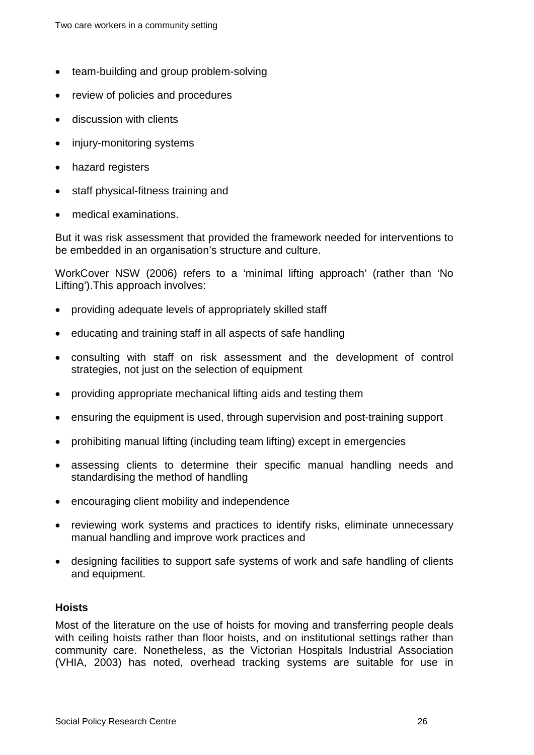- team-building and group problem-solving
- review of policies and procedures
- discussion with clients
- injury-monitoring systems
- hazard registers
- staff physical-fitness training and
- medical examinations.

But it was risk assessment that provided the framework needed for interventions to be embedded in an organisation's structure and culture.

WorkCover NSW (2006) refers to a 'minimal lifting approach' (rather than 'No Lifting').This approach involves:

- providing adequate levels of appropriately skilled staff
- educating and training staff in all aspects of safe handling
- consulting with staff on risk assessment and the development of control strategies, not just on the selection of equipment
- providing appropriate mechanical lifting aids and testing them
- ensuring the equipment is used, through supervision and post-training support
- prohibiting manual lifting (including team lifting) except in emergencies
- assessing clients to determine their specific manual handling needs and standardising the method of handling
- encouraging client mobility and independence
- reviewing work systems and practices to identify risks, eliminate unnecessary manual handling and improve work practices and
- designing facilities to support safe systems of work and safe handling of clients and equipment.

#### <span id="page-30-0"></span>**Hoists**

Most of the literature on the use of hoists for moving and transferring people deals with ceiling hoists rather than floor hoists, and on institutional settings rather than community care. Nonetheless, as the Victorian Hospitals Industrial Association (VHIA, 2003) has noted, overhead tracking systems are suitable for use in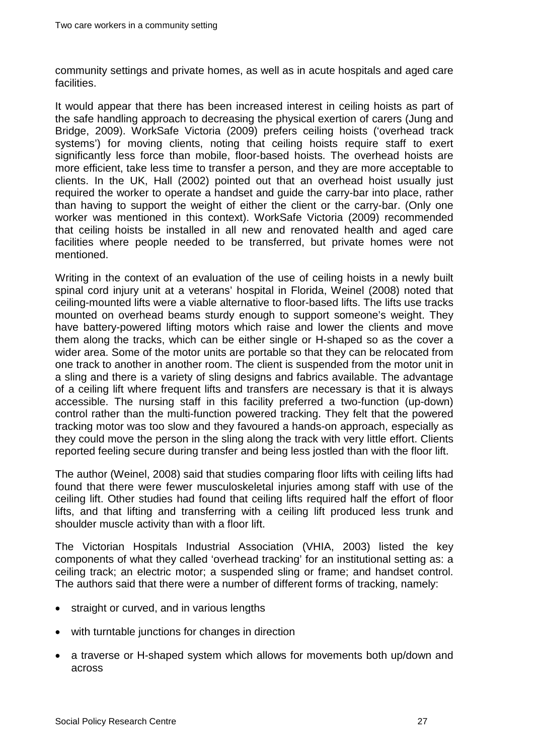community settings and private homes, as well as in acute hospitals and aged care facilities.

It would appear that there has been increased interest in ceiling hoists as part of the safe handling approach to decreasing the physical exertion of carers (Jung and Bridge, 2009). WorkSafe Victoria (2009) prefers ceiling hoists ('overhead track systems') for moving clients, noting that ceiling hoists require staff to exert significantly less force than mobile, floor-based hoists. The overhead hoists are more efficient, take less time to transfer a person, and they are more acceptable to clients. In the UK, Hall (2002) pointed out that an overhead hoist usually just required the worker to operate a handset and guide the carry-bar into place, rather than having to support the weight of either the client or the carry-bar. (Only one worker was mentioned in this context). WorkSafe Victoria (2009) recommended that ceiling hoists be installed in all new and renovated health and aged care facilities where people needed to be transferred, but private homes were not mentioned.

Writing in the context of an evaluation of the use of ceiling hoists in a newly built spinal cord injury unit at a veterans' hospital in Florida, Weinel (2008) noted that ceiling-mounted lifts were a viable alternative to floor-based lifts. The lifts use tracks mounted on overhead beams sturdy enough to support someone's weight. They have battery-powered lifting motors which raise and lower the clients and move them along the tracks, which can be either single or H-shaped so as the cover a wider area. Some of the motor units are portable so that they can be relocated from one track to another in another room. The client is suspended from the motor unit in a sling and there is a variety of sling designs and fabrics available. The advantage of a ceiling lift where frequent lifts and transfers are necessary is that it is always accessible. The nursing staff in this facility preferred a two-function (up-down) control rather than the multi-function powered tracking. They felt that the powered tracking motor was too slow and they favoured a hands-on approach, especially as they could move the person in the sling along the track with very little effort. Clients reported feeling secure during transfer and being less jostled than with the floor lift.

The author (Weinel, 2008) said that studies comparing floor lifts with ceiling lifts had found that there were fewer musculoskeletal injuries among staff with use of the ceiling lift. Other studies had found that ceiling lifts required half the effort of floor lifts, and that lifting and transferring with a ceiling lift produced less trunk and shoulder muscle activity than with a floor lift.

The Victorian Hospitals Industrial Association (VHIA, 2003) listed the key components of what they called 'overhead tracking' for an institutional setting as: a ceiling track; an electric motor; a suspended sling or frame; and handset control. The authors said that there were a number of different forms of tracking, namely:

- straight or curved, and in various lengths
- with turntable junctions for changes in direction
- a traverse or H-shaped system which allows for movements both up/down and across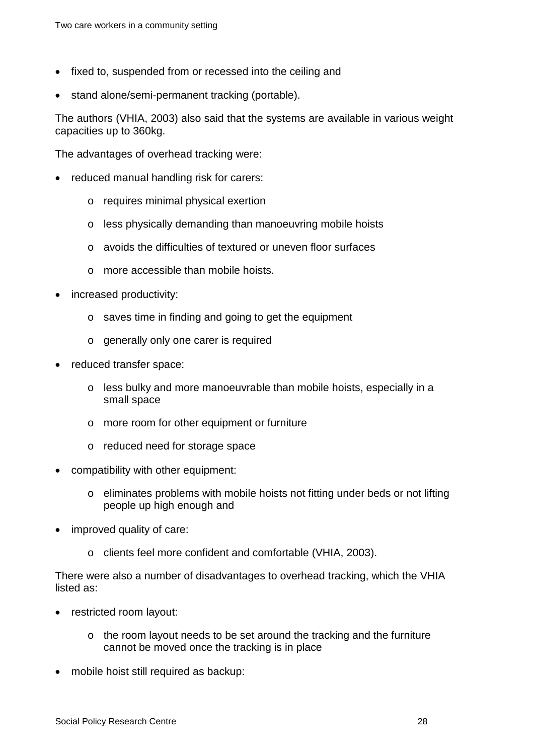- fixed to, suspended from or recessed into the ceiling and
- stand alone/semi-permanent tracking (portable).

The authors (VHIA, 2003) also said that the systems are available in various weight capacities up to 360kg.

The advantages of overhead tracking were:

- reduced manual handling risk for carers:
	- o requires minimal physical exertion
	- o less physically demanding than manoeuvring mobile hoists
	- o avoids the difficulties of textured or uneven floor surfaces
	- o more accessible than mobile hoists.
- increased productivity:
	- o saves time in finding and going to get the equipment
	- o generally only one carer is required
- reduced transfer space:
	- $\circ$  less bulky and more manoeuvrable than mobile hoists, especially in a small space
	- o more room for other equipment or furniture
	- o reduced need for storage space
- compatibility with other equipment:
	- o eliminates problems with mobile hoists not fitting under beds or not lifting people up high enough and
- improved quality of care:
	- o clients feel more confident and comfortable (VHIA, 2003).

There were also a number of disadvantages to overhead tracking, which the VHIA listed as:

- restricted room layout:
	- o the room layout needs to be set around the tracking and the furniture cannot be moved once the tracking is in place
- mobile hoist still required as backup: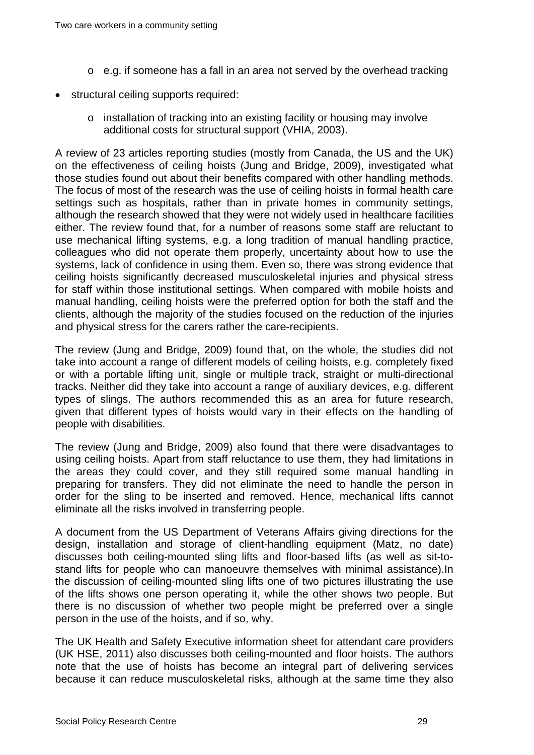- o e.g. if someone has a fall in an area not served by the overhead tracking
- structural ceiling supports required:
	- $\circ$  installation of tracking into an existing facility or housing may involve additional costs for structural support (VHIA, 2003).

A review of 23 articles reporting studies (mostly from Canada, the US and the UK) on the effectiveness of ceiling hoists (Jung and Bridge, 2009), investigated what those studies found out about their benefits compared with other handling methods. The focus of most of the research was the use of ceiling hoists in formal health care settings such as hospitals, rather than in private homes in community settings, although the research showed that they were not widely used in healthcare facilities either. The review found that, for a number of reasons some staff are reluctant to use mechanical lifting systems, e.g. a long tradition of manual handling practice, colleagues who did not operate them properly, uncertainty about how to use the systems, lack of confidence in using them. Even so, there was strong evidence that ceiling hoists significantly decreased musculoskeletal injuries and physical stress for staff within those institutional settings. When compared with mobile hoists and manual handling, ceiling hoists were the preferred option for both the staff and the clients, although the majority of the studies focused on the reduction of the injuries and physical stress for the carers rather the care-recipients.

The review (Jung and Bridge, 2009) found that, on the whole, the studies did not take into account a range of different models of ceiling hoists, e.g. completely fixed or with a portable lifting unit, single or multiple track, straight or multi-directional tracks. Neither did they take into account a range of auxiliary devices, e.g. different types of slings. The authors recommended this as an area for future research, given that different types of hoists would vary in their effects on the handling of people with disabilities.

The review (Jung and Bridge, 2009) also found that there were disadvantages to using ceiling hoists. Apart from staff reluctance to use them, they had limitations in the areas they could cover, and they still required some manual handling in preparing for transfers. They did not eliminate the need to handle the person in order for the sling to be inserted and removed. Hence, mechanical lifts cannot eliminate all the risks involved in transferring people.

A document from the US Department of Veterans Affairs giving directions for the design, installation and storage of client-handling equipment (Matz, no date) discusses both ceiling-mounted sling lifts and floor-based lifts (as well as sit-tostand lifts for people who can manoeuvre themselves with minimal assistance).In the discussion of ceiling-mounted sling lifts one of two pictures illustrating the use of the lifts shows one person operating it, while the other shows two people. But there is no discussion of whether two people might be preferred over a single person in the use of the hoists, and if so, why.

The UK Health and Safety Executive information sheet for attendant care providers (UK HSE, 2011) also discusses both ceiling-mounted and floor hoists. The authors note that the use of hoists has become an integral part of delivering services because it can reduce musculoskeletal risks, although at the same time they also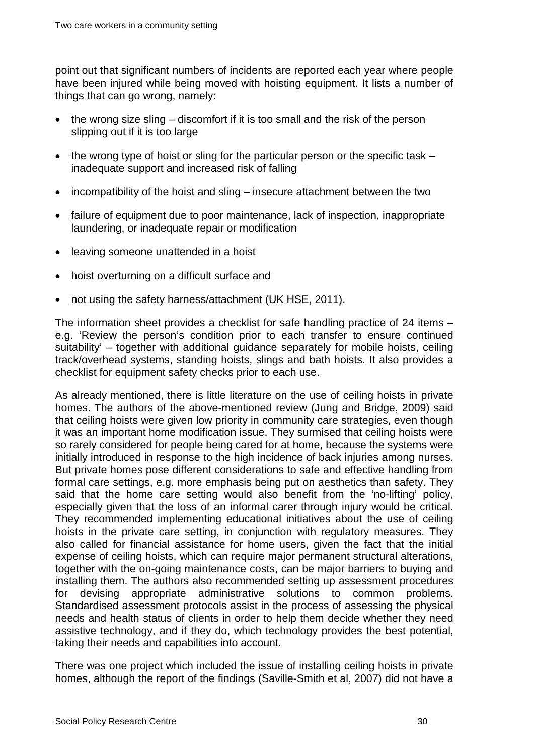point out that significant numbers of incidents are reported each year where people have been injured while being moved with hoisting equipment. It lists a number of things that can go wrong, namely:

- the wrong size sling discomfort if it is too small and the risk of the person slipping out if it is too large
- the wrong type of hoist or sling for the particular person or the specific task inadequate support and increased risk of falling
- incompatibility of the hoist and sling insecure attachment between the two
- failure of equipment due to poor maintenance, lack of inspection, inappropriate laundering, or inadequate repair or modification
- leaving someone unattended in a hoist
- hoist overturning on a difficult surface and
- not using the safety harness/attachment (UK HSE, 2011).

The information sheet provides a checklist for safe handling practice of 24 items – e.g. 'Review the person's condition prior to each transfer to ensure continued suitability' – together with additional guidance separately for mobile hoists, ceiling track/overhead systems, standing hoists, slings and bath hoists. It also provides a checklist for equipment safety checks prior to each use.

As already mentioned, there is little literature on the use of ceiling hoists in private homes. The authors of the above-mentioned review (Jung and Bridge, 2009) said that ceiling hoists were given low priority in community care strategies, even though it was an important home modification issue. They surmised that ceiling hoists were so rarely considered for people being cared for at home, because the systems were initially introduced in response to the high incidence of back injuries among nurses. But private homes pose different considerations to safe and effective handling from formal care settings, e.g. more emphasis being put on aesthetics than safety. They said that the home care setting would also benefit from the 'no-lifting' policy, especially given that the loss of an informal carer through injury would be critical. They recommended implementing educational initiatives about the use of ceiling hoists in the private care setting, in conjunction with regulatory measures. They also called for financial assistance for home users, given the fact that the initial expense of ceiling hoists, which can require major permanent structural alterations, together with the on-going maintenance costs, can be major barriers to buying and installing them. The authors also recommended setting up assessment procedures for devising appropriate administrative solutions to common problems. Standardised assessment protocols assist in the process of assessing the physical needs and health status of clients in order to help them decide whether they need assistive technology, and if they do, which technology provides the best potential, taking their needs and capabilities into account.

There was one project which included the issue of installing ceiling hoists in private homes, although the report of the findings (Saville-Smith et al, 2007) did not have a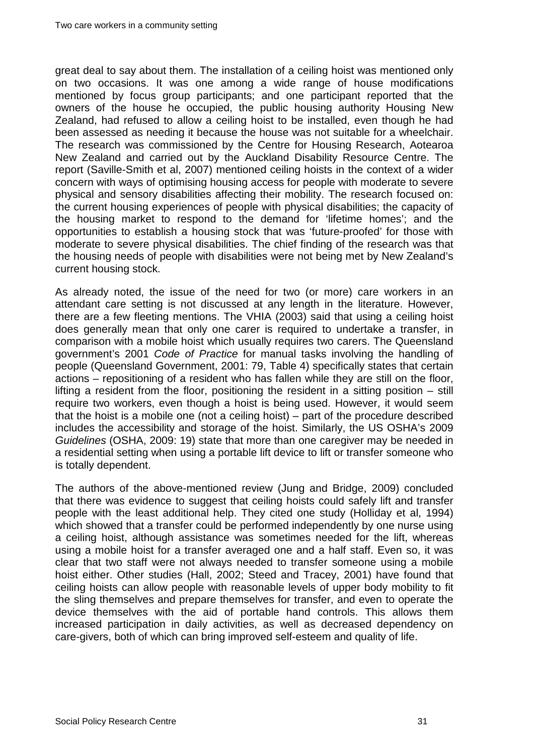great deal to say about them. The installation of a ceiling hoist was mentioned only on two occasions. It was one among a wide range of house modifications mentioned by focus group participants; and one participant reported that the owners of the house he occupied, the public housing authority Housing New Zealand, had refused to allow a ceiling hoist to be installed, even though he had been assessed as needing it because the house was not suitable for a wheelchair. The research was commissioned by the Centre for Housing Research, Aotearoa New Zealand and carried out by the Auckland Disability Resource Centre. The report (Saville-Smith et al, 2007) mentioned ceiling hoists in the context of a wider concern with ways of optimising housing access for people with moderate to severe physical and sensory disabilities affecting their mobility. The research focused on: the current housing experiences of people with physical disabilities; the capacity of the housing market to respond to the demand for 'lifetime homes'; and the opportunities to establish a housing stock that was 'future-proofed' for those with moderate to severe physical disabilities. The chief finding of the research was that the housing needs of people with disabilities were not being met by New Zealand's current housing stock.

As already noted, the issue of the need for two (or more) care workers in an attendant care setting is not discussed at any length in the literature. However, there are a few fleeting mentions. The VHIA (2003) said that using a ceiling hoist does generally mean that only one carer is required to undertake a transfer, in comparison with a mobile hoist which usually requires two carers. The Queensland government's 2001 *Code of Practice* for manual tasks involving the handling of people (Queensland Government, 2001: 79, Table 4) specifically states that certain actions – repositioning of a resident who has fallen while they are still on the floor, lifting a resident from the floor, positioning the resident in a sitting position – still require two workers, even though a hoist is being used. However, it would seem that the hoist is a mobile one (not a ceiling hoist) – part of the procedure described includes the accessibility and storage of the hoist. Similarly, the US OSHA's 2009 *Guidelines* (OSHA, 2009: 19) state that more than one caregiver may be needed in a residential setting when using a portable lift device to lift or transfer someone who is totally dependent.

The authors of the above-mentioned review (Jung and Bridge, 2009) concluded that there was evidence to suggest that ceiling hoists could safely lift and transfer people with the least additional help. They cited one study (Holliday et al, 1994) which showed that a transfer could be performed independently by one nurse using a ceiling hoist, although assistance was sometimes needed for the lift, whereas using a mobile hoist for a transfer averaged one and a half staff. Even so, it was clear that two staff were not always needed to transfer someone using a mobile hoist either. Other studies (Hall, 2002; Steed and Tracey, 2001) have found that ceiling hoists can allow people with reasonable levels of upper body mobility to fit the sling themselves and prepare themselves for transfer, and even to operate the device themselves with the aid of portable hand controls. This allows them increased participation in daily activities, as well as decreased dependency on care-givers, both of which can bring improved self-esteem and quality of life.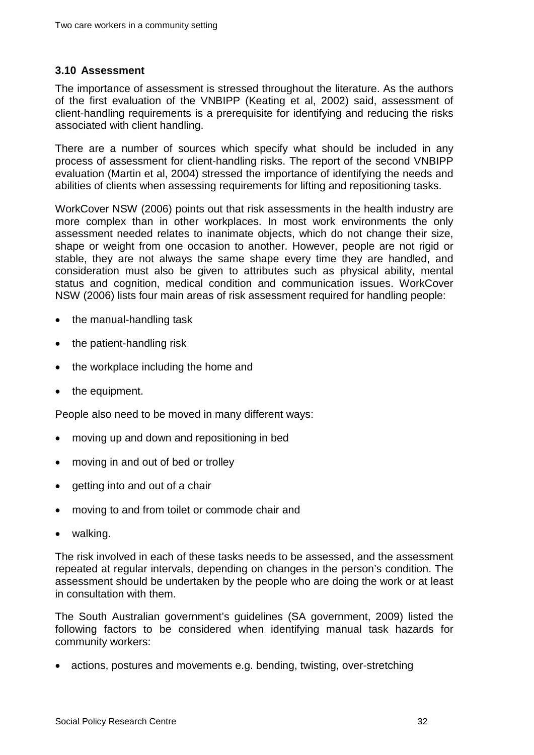#### <span id="page-36-0"></span>**3.10 Assessment**

The importance of assessment is stressed throughout the literature. As the authors of the first evaluation of the VNBIPP (Keating et al, 2002) said, assessment of client-handling requirements is a prerequisite for identifying and reducing the risks associated with client handling.

There are a number of sources which specify what should be included in any process of assessment for client-handling risks. The report of the second VNBIPP evaluation (Martin et al, 2004) stressed the importance of identifying the needs and abilities of clients when assessing requirements for lifting and repositioning tasks.

WorkCover NSW (2006) points out that risk assessments in the health industry are more complex than in other workplaces. In most work environments the only assessment needed relates to inanimate objects, which do not change their size, shape or weight from one occasion to another. However, people are not rigid or stable, they are not always the same shape every time they are handled, and consideration must also be given to attributes such as physical ability, mental status and cognition, medical condition and communication issues. WorkCover NSW (2006) lists four main areas of risk assessment required for handling people:

- the manual-handling task
- the patient-handling risk
- the workplace including the home and
- the equipment.

People also need to be moved in many different ways:

- moving up and down and repositioning in bed
- moving in and out of bed or trolley
- getting into and out of a chair
- moving to and from toilet or commode chair and
- walking.

The risk involved in each of these tasks needs to be assessed, and the assessment repeated at regular intervals, depending on changes in the person's condition. The assessment should be undertaken by the people who are doing the work or at least in consultation with them.

The South Australian government's guidelines (SA government, 2009) listed the following factors to be considered when identifying manual task hazards for community workers:

• actions, postures and movements e.g. bending, twisting, over-stretching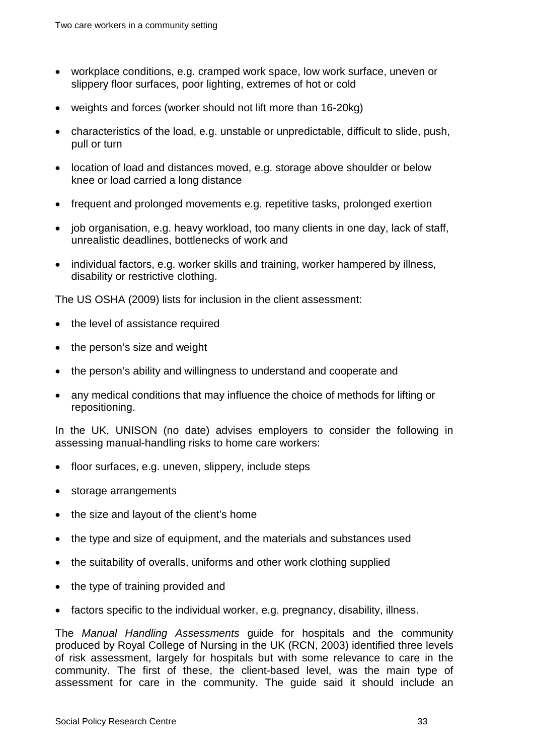- workplace conditions, e.g. cramped work space, low work surface, uneven or slippery floor surfaces, poor lighting, extremes of hot or cold
- weights and forces (worker should not lift more than 16-20kg)
- characteristics of the load, e.g. unstable or unpredictable, difficult to slide, push, pull or turn
- location of load and distances moved, e.g. storage above shoulder or below knee or load carried a long distance
- frequent and prolonged movements e.g. repetitive tasks, prolonged exertion
- job organisation, e.g. heavy workload, too many clients in one day, lack of staff, unrealistic deadlines, bottlenecks of work and
- individual factors, e.g. worker skills and training, worker hampered by illness, disability or restrictive clothing.

The US OSHA (2009) lists for inclusion in the client assessment:

- the level of assistance required
- the person's size and weight
- the person's ability and willingness to understand and cooperate and
- any medical conditions that may influence the choice of methods for lifting or repositioning.

In the UK, UNISON (no date) advises employers to consider the following in assessing manual-handling risks to home care workers:

- floor surfaces, e.g. uneven, slippery, include steps
- storage arrangements
- the size and layout of the client's home
- the type and size of equipment, and the materials and substances used
- the suitability of overalls, uniforms and other work clothing supplied
- the type of training provided and
- factors specific to the individual worker, e.g. pregnancy, disability, illness.

The *Manual Handling Assessments* guide for hospitals and the community produced by Royal College of Nursing in the UK (RCN, 2003) identified three levels of risk assessment, largely for hospitals but with some relevance to care in the community. The first of these, the client-based level, was the main type of assessment for care in the community. The guide said it should include an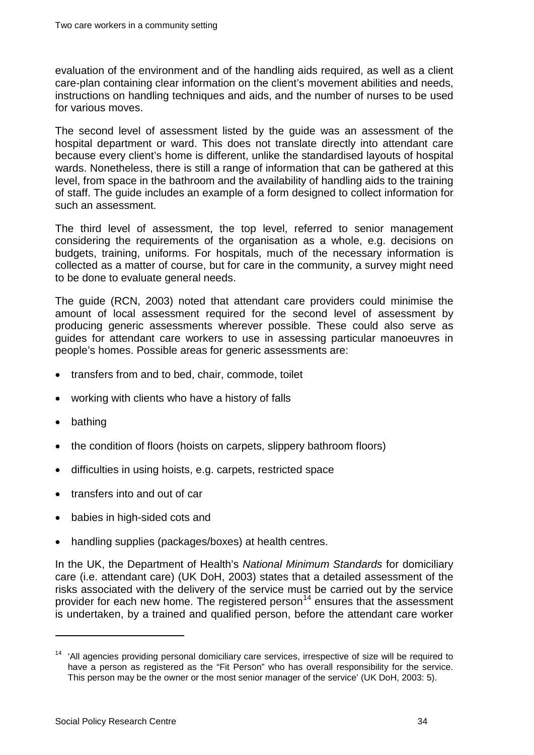evaluation of the environment and of the handling aids required, as well as a client care-plan containing clear information on the client's movement abilities and needs, instructions on handling techniques and aids, and the number of nurses to be used for various moves.

The second level of assessment listed by the guide was an assessment of the hospital department or ward. This does not translate directly into attendant care because every client's home is different, unlike the standardised layouts of hospital wards. Nonetheless, there is still a range of information that can be gathered at this level, from space in the bathroom and the availability of handling aids to the training of staff. The guide includes an example of a form designed to collect information for such an assessment.

The third level of assessment, the top level, referred to senior management considering the requirements of the organisation as a whole, e.g. decisions on budgets, training, uniforms. For hospitals, much of the necessary information is collected as a matter of course, but for care in the community, a survey might need to be done to evaluate general needs.

The guide (RCN, 2003) noted that attendant care providers could minimise the amount of local assessment required for the second level of assessment by producing generic assessments wherever possible. These could also serve as guides for attendant care workers to use in assessing particular manoeuvres in people's homes. Possible areas for generic assessments are:

- transfers from and to bed, chair, commode, toilet
- working with clients who have a history of falls
- bathing

 $\overline{a}$ 

- the condition of floors (hoists on carpets, slippery bathroom floors)
- difficulties in using hoists, e.g. carpets, restricted space
- transfers into and out of car
- babies in high-sided cots and
- handling supplies (packages/boxes) at health centres.

In the UK, the Department of Health's *National Minimum Standards* for domiciliary care (i.e. attendant care) (UK DoH, 2003) states that a detailed assessment of the risks associated with the delivery of the service must be carried out by the service provider for each new home. The registered person<sup>[14](#page-29-0)</sup> ensures that the assessment is undertaken, by a trained and qualified person, before the attendant care worker

<span id="page-38-0"></span> $14$  'All agencies providing personal domiciliary care services, irrespective of size will be required to have a person as registered as the "Fit Person" who has overall responsibility for the service. This person may be the owner or the most senior manager of the service' (UK DoH, 2003: 5).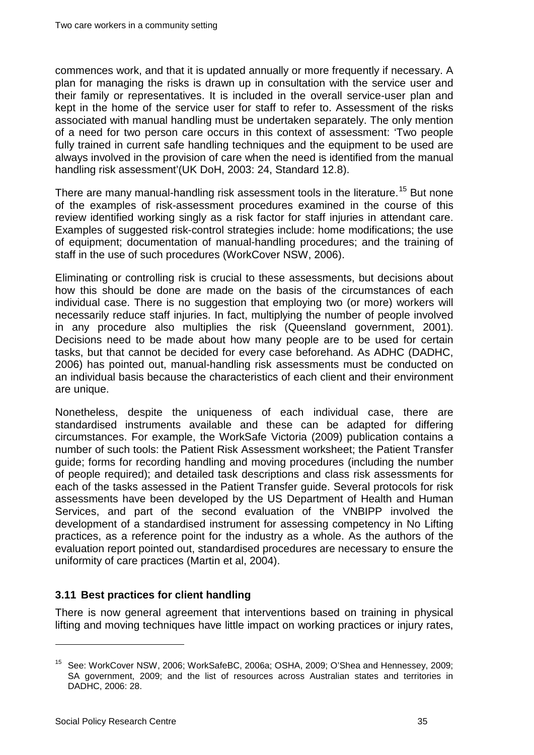commences work, and that it is updated annually or more frequently if necessary. A plan for managing the risks is drawn up in consultation with the service user and their family or representatives. It is included in the overall service-user plan and kept in the home of the service user for staff to refer to. Assessment of the risks associated with manual handling must be undertaken separately. The only mention of a need for two person care occurs in this context of assessment: 'Two people fully trained in current safe handling techniques and the equipment to be used are always involved in the provision of care when the need is identified from the manual handling risk assessment'(UK DoH, 2003: 24, Standard 12.8).

There are many manual-handling risk assessment tools in the literature.<sup>[15](#page-38-0)</sup> But none of the examples of risk-assessment procedures examined in the course of this review identified working singly as a risk factor for staff injuries in attendant care. Examples of suggested risk-control strategies include: home modifications; the use of equipment; documentation of manual-handling procedures; and the training of staff in the use of such procedures (WorkCover NSW, 2006).

Eliminating or controlling risk is crucial to these assessments, but decisions about how this should be done are made on the basis of the circumstances of each individual case. There is no suggestion that employing two (or more) workers will necessarily reduce staff injuries. In fact, multiplying the number of people involved in any procedure also multiplies the risk (Queensland government, 2001). Decisions need to be made about how many people are to be used for certain tasks, but that cannot be decided for every case beforehand. As ADHC (DADHC, 2006) has pointed out, manual-handling risk assessments must be conducted on an individual basis because the characteristics of each client and their environment are unique.

Nonetheless, despite the uniqueness of each individual case, there are standardised instruments available and these can be adapted for differing circumstances. For example, the WorkSafe Victoria (2009) publication contains a number of such tools: the Patient Risk Assessment worksheet; the Patient Transfer guide; forms for recording handling and moving procedures (including the number of people required); and detailed task descriptions and class risk assessments for each of the tasks assessed in the Patient Transfer guide. Several protocols for risk assessments have been developed by the US Department of Health and Human Services, and part of the second evaluation of the VNBIPP involved the development of a standardised instrument for assessing competency in No Lifting practices, as a reference point for the industry as a whole. As the authors of the evaluation report pointed out, standardised procedures are necessary to ensure the uniformity of care practices (Martin et al, 2004).

#### <span id="page-39-0"></span>**3.11 Best practices for client handling**

There is now general agreement that interventions based on training in physical lifting and moving techniques have little impact on working practices or injury rates,

<span id="page-39-1"></span><sup>15</sup> See: WorkCover NSW, 2006; WorkSafeBC, 2006a; OSHA, 2009; O'Shea and Hennessey, 2009; SA government, 2009; and the list of resources across Australian states and territories in DADHC, 2006: 28.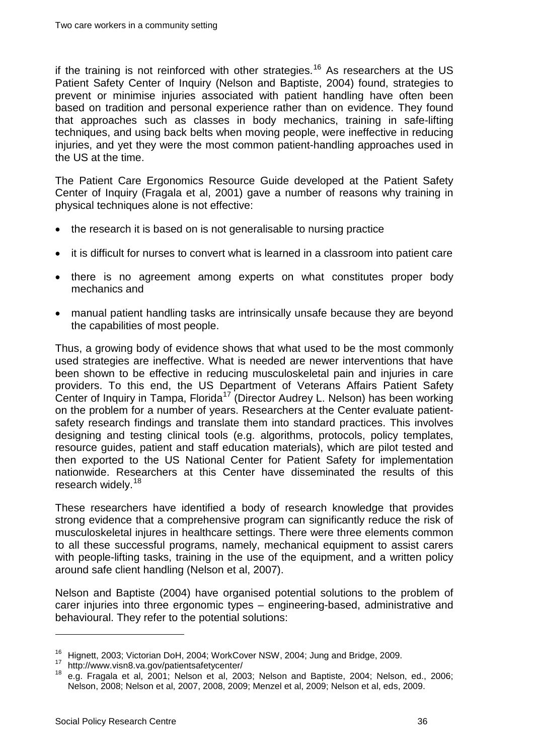if the training is not reinforced with other strategies.<sup>[16](#page-39-1)</sup> As researchers at the US Patient Safety Center of Inquiry (Nelson and Baptiste, 2004) found, strategies to prevent or minimise injuries associated with patient handling have often been based on tradition and personal experience rather than on evidence. They found that approaches such as classes in body mechanics, training in safe-lifting techniques, and using back belts when moving people, were ineffective in reducing injuries, and yet they were the most common patient-handling approaches used in the US at the time.

The Patient Care Ergonomics Resource Guide developed at the Patient Safety Center of Inquiry (Fragala et al, 2001) gave a number of reasons why training in physical techniques alone is not effective:

- the research it is based on is not generalisable to nursing practice
- it is difficult for nurses to convert what is learned in a classroom into patient care
- there is no agreement among experts on what constitutes proper body mechanics and
- manual patient handling tasks are intrinsically unsafe because they are beyond the capabilities of most people.

Thus, a growing body of evidence shows that what used to be the most commonly used strategies are ineffective. What is needed are newer interventions that have been shown to be effective in reducing musculoskeletal pain and injuries in care providers. To this end, the US Department of Veterans Affairs Patient Safety Center of Inquiry in Tampa, Florida<sup>[17](#page-40-0)</sup> (Director Audrey L. Nelson) has been working on the problem for a number of years. Researchers at the Center evaluate patientsafety research findings and translate them into standard practices. This involves designing and testing clinical tools (e.g. algorithms, protocols, policy templates, resource guides, patient and staff education materials), which are pilot tested and then exported to the US National Center for Patient Safety for implementation nationwide. Researchers at this Center have disseminated the results of this research widely.<sup>[18](#page-40-1)</sup>

These researchers have identified a body of research knowledge that provides strong evidence that a comprehensive program can significantly reduce the risk of musculoskeletal injures in healthcare settings. There were three elements common to all these successful programs, namely, mechanical equipment to assist carers with people-lifting tasks, training in the use of the equipment, and a written policy around safe client handling (Nelson et al, 2007).

Nelson and Baptiste (2004) have organised potential solutions to the problem of carer injuries into three ergonomic types – engineering-based, administrative and behavioural. They refer to the potential solutions:

<span id="page-40-1"></span>

<span id="page-40-0"></span><sup>&</sup>lt;sup>16</sup> Hignett, 2003; Victorian DoH, 2004; WorkCover NSW, 2004; Jung and Bridge, 2009.<br><sup>17</sup> http://www.visn8.va.gov/patientsafetycenter/<br><sup>18</sup> e.g. Fragala et al, 2001; Nelson et al, 2003; Nelson and Baptiste, 2004; Nelson, Nelson, 2008; Nelson et al, 2007, 2008, 2009; Menzel et al, 2009; Nelson et al, eds, 2009.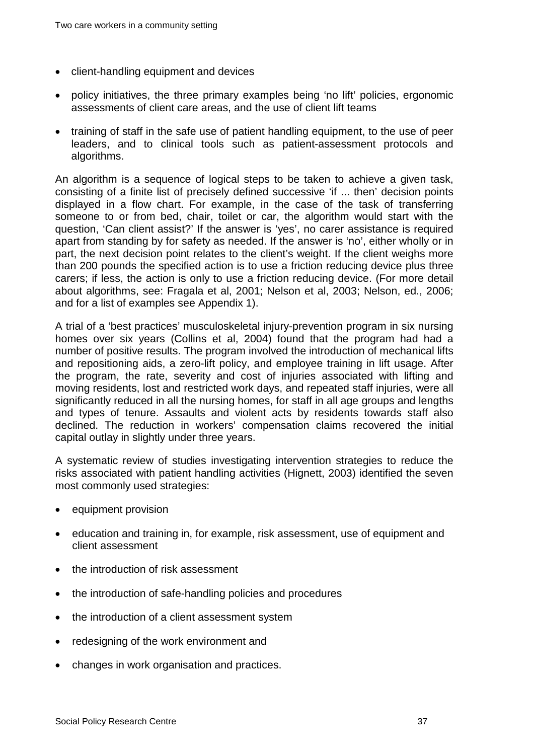- client-handling equipment and devices
- policy initiatives, the three primary examples being 'no lift' policies, ergonomic assessments of client care areas, and the use of client lift teams
- training of staff in the safe use of patient handling equipment, to the use of peer leaders, and to clinical tools such as patient-assessment protocols and algorithms.

An algorithm is a sequence of logical steps to be taken to achieve a given task, consisting of a finite list of precisely defined successive 'if ... then' decision points displayed in a flow chart. For example, in the case of the task of transferring someone to or from bed, chair, toilet or car, the algorithm would start with the question, 'Can client assist?' If the answer is 'yes', no carer assistance is required apart from standing by for safety as needed. If the answer is 'no', either wholly or in part, the next decision point relates to the client's weight. If the client weighs more than 200 pounds the specified action is to use a friction reducing device plus three carers; if less, the action is only to use a friction reducing device. (For more detail about algorithms, see: Fragala et al, 2001; Nelson et al, 2003; Nelson, ed., 2006; and for a list of examples see Appendix 1).

A trial of a 'best practices' musculoskeletal injury-prevention program in six nursing homes over six years (Collins et al, 2004) found that the program had had a number of positive results. The program involved the introduction of mechanical lifts and repositioning aids, a zero-lift policy, and employee training in lift usage. After the program, the rate, severity and cost of injuries associated with lifting and moving residents, lost and restricted work days, and repeated staff injuries, were all significantly reduced in all the nursing homes, for staff in all age groups and lengths and types of tenure. Assaults and violent acts by residents towards staff also declined. The reduction in workers' compensation claims recovered the initial capital outlay in slightly under three years.

A systematic review of studies investigating intervention strategies to reduce the risks associated with patient handling activities (Hignett, 2003) identified the seven most commonly used strategies:

- equipment provision
- education and training in, for example, risk assessment, use of equipment and client assessment
- the introduction of risk assessment
- the introduction of safe-handling policies and procedures
- the introduction of a client assessment system
- redesigning of the work environment and
- changes in work organisation and practices.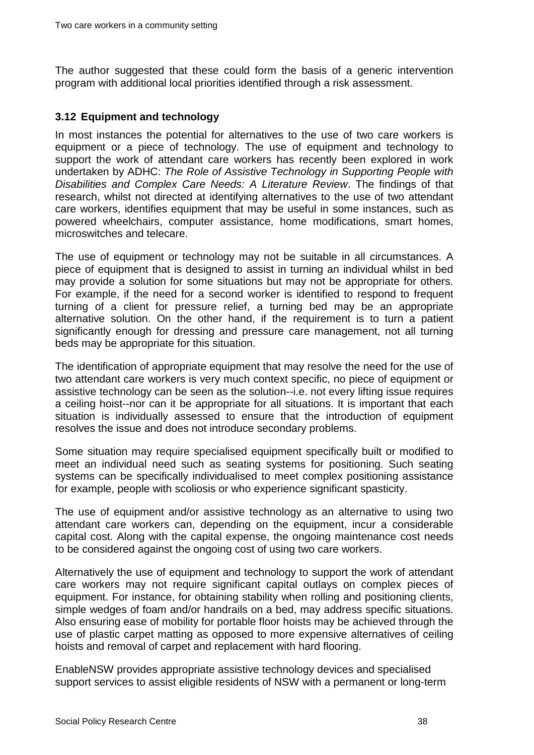The author suggested that these could form the basis of a generic intervention program with additional local priorities identified through a risk assessment.

#### <span id="page-42-0"></span>**3.12 Equipment and technology**

In most instances the potential for alternatives to the use of two care workers is equipment or a piece of technology. The use of equipment and technology to support the work of attendant care workers has recently been explored in work undertaken by ADHC: *The Role of Assistive Technology in Supporting People with Disabilities and Complex Care Needs: A Literature Review*. The findings of that research, whilst not directed at identifying alternatives to the use of two attendant care workers, identifies equipment that may be useful in some instances, such as powered wheelchairs, computer assistance, home modifications, smart homes, microswitches and telecare.

The use of equipment or technology may not be suitable in all circumstances. A piece of equipment that is designed to assist in turning an individual whilst in bed may provide a solution for some situations but may not be appropriate for others. For example, if the need for a second worker is identified to respond to frequent turning of a client for pressure relief, a turning bed may be an appropriate alternative solution. On the other hand, if the requirement is to turn a patient significantly enough for dressing and pressure care management, not all turning beds may be appropriate for this situation.

The identification of appropriate equipment that may resolve the need for the use of two attendant care workers is very much context specific, no piece of equipment or assistive technology can be seen as the solution--i.e. not every lifting issue requires a ceiling hoist--nor can it be appropriate for all situations. It is important that each situation is individually assessed to ensure that the introduction of equipment resolves the issue and does not introduce secondary problems.

Some situation may require specialised equipment specifically built or modified to meet an individual need such as seating systems for positioning. Such seating systems can be specifically individualised to meet complex positioning assistance for example, people with scoliosis or who experience significant spasticity.

The use of equipment and/or assistive technology as an alternative to using two attendant care workers can, depending on the equipment, incur a considerable capital cost. Along with the capital expense, the ongoing maintenance cost needs to be considered against the ongoing cost of using two care workers.

Alternatively the use of equipment and technology to support the work of attendant care workers may not require significant capital outlays on complex pieces of equipment. For instance, for obtaining stability when rolling and positioning clients, simple wedges of foam and/or handrails on a bed, may address specific situations. Also ensuring ease of mobility for portable floor hoists may be achieved through the use of plastic carpet matting as opposed to more expensive alternatives of ceiling hoists and removal of carpet and replacement with hard flooring.

EnableNSW provides appropriate assistive technology devices and specialised support services to assist eligible residents of NSW with a permanent or long-term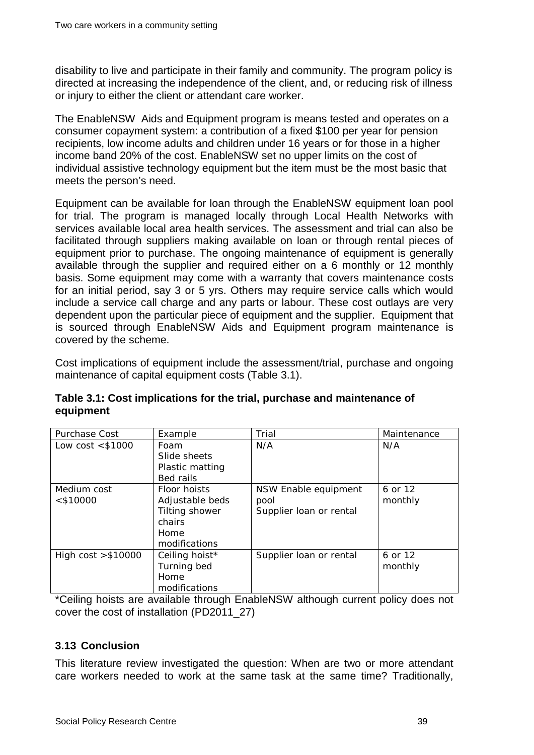disability to live and participate in their family and community. The program policy is directed at increasing the independence of the client, and, or reducing risk of illness or injury to either the client or attendant care worker.

The EnableNSW Aids and Equipment program is means tested and operates on a consumer copayment system: a contribution of a fixed \$100 per year for pension recipients, low income adults and children under 16 years or for those in a higher income band 20% of the cost. EnableNSW set no upper limits on the cost of individual assistive technology equipment but the item must be the most basic that meets the person's need.

Equipment can be available for loan through the EnableNSW equipment loan pool for trial. The program is managed locally through Local Health Networks with services available local area health services. The assessment and trial can also be facilitated through suppliers making available on loan or through rental pieces of equipment prior to purchase. The ongoing maintenance of equipment is generally available through the supplier and required either on a 6 monthly or 12 monthly basis. Some equipment may come with a warranty that covers maintenance costs for an initial period, say 3 or 5 yrs. Others may require service calls which would include a service call charge and any parts or labour. These cost outlays are very dependent upon the particular piece of equipment and the supplier. Equipment that is sourced through EnableNSW Aids and Equipment program maintenance is covered by the scheme.

Cost implications of equipment include the assessment/trial, purchase and ongoing maintenance of capital equipment costs [\(Table 3.1\)](#page-43-1).

| Purchase Cost        | Example         | Trial                   | Maintenance |
|----------------------|-----------------|-------------------------|-------------|
| Low $cost < $1000$   | Foam            | N/A                     | N/A         |
|                      | Slide sheets    |                         |             |
|                      | Plastic matting |                         |             |
|                      | Bed rails       |                         |             |
| Medium cost          | Floor hoists    | NSW Enable equipment    | 6 or 12     |
| $<$ \$10000          | Adjustable beds | pool                    | monthly     |
|                      | Tilting shower  | Supplier loan or rental |             |
|                      | chairs          |                         |             |
|                      | Home            |                         |             |
|                      | modifications   |                         |             |
| High $cost > $10000$ | Ceiling hoist*  | Supplier loan or rental | 6 or 12     |
|                      | Turning bed     |                         | monthly     |
|                      | Home            |                         |             |
|                      | modifications   |                         |             |

<span id="page-43-1"></span>**Table 3.1: Cost implications for the trial, purchase and maintenance of equipment**

\*Ceiling hoists are available through EnableNSW although current policy does not cover the cost of installation (PD2011\_27)

#### <span id="page-43-0"></span>**3.13 Conclusion**

This literature review investigated the question: When are two or more attendant care workers needed to work at the same task at the same time? Traditionally,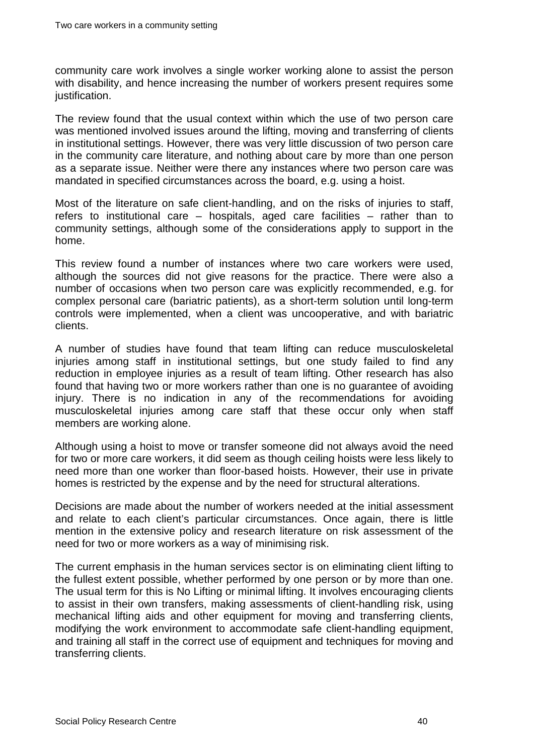community care work involves a single worker working alone to assist the person with disability, and hence increasing the number of workers present requires some justification.

The review found that the usual context within which the use of two person care was mentioned involved issues around the lifting, moving and transferring of clients in institutional settings. However, there was very little discussion of two person care in the community care literature, and nothing about care by more than one person as a separate issue. Neither were there any instances where two person care was mandated in specified circumstances across the board, e.g. using a hoist.

Most of the literature on safe client-handling, and on the risks of injuries to staff, refers to institutional care – hospitals, aged care facilities – rather than to community settings, although some of the considerations apply to support in the home.

This review found a number of instances where two care workers were used, although the sources did not give reasons for the practice. There were also a number of occasions when two person care was explicitly recommended, e.g. for complex personal care (bariatric patients), as a short-term solution until long-term controls were implemented, when a client was uncooperative, and with bariatric clients.

A number of studies have found that team lifting can reduce musculoskeletal injuries among staff in institutional settings, but one study failed to find any reduction in employee injuries as a result of team lifting. Other research has also found that having two or more workers rather than one is no guarantee of avoiding injury. There is no indication in any of the recommendations for avoiding musculoskeletal injuries among care staff that these occur only when staff members are working alone.

Although using a hoist to move or transfer someone did not always avoid the need for two or more care workers, it did seem as though ceiling hoists were less likely to need more than one worker than floor-based hoists. However, their use in private homes is restricted by the expense and by the need for structural alterations.

Decisions are made about the number of workers needed at the initial assessment and relate to each client's particular circumstances. Once again, there is little mention in the extensive policy and research literature on risk assessment of the need for two or more workers as a way of minimising risk.

The current emphasis in the human services sector is on eliminating client lifting to the fullest extent possible, whether performed by one person or by more than one. The usual term for this is No Lifting or minimal lifting. It involves encouraging clients to assist in their own transfers, making assessments of client-handling risk, using mechanical lifting aids and other equipment for moving and transferring clients, modifying the work environment to accommodate safe client-handling equipment, and training all staff in the correct use of equipment and techniques for moving and transferring clients.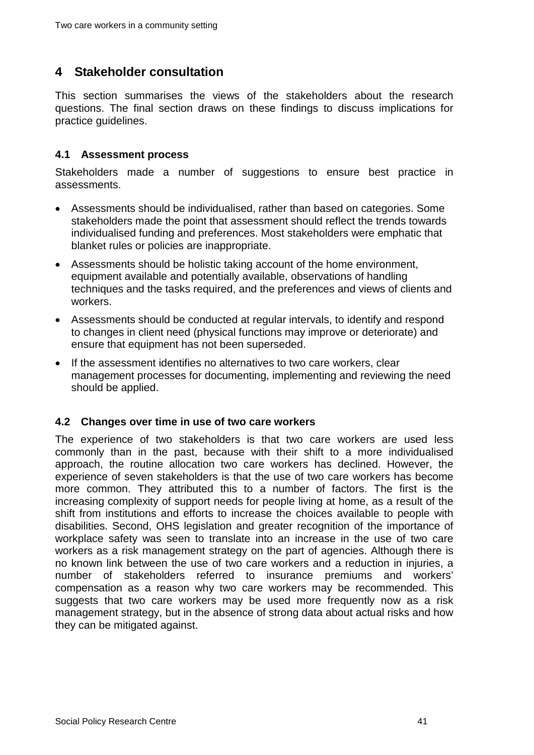## <span id="page-45-0"></span>**4 Stakeholder consultation**

This section summarises the views of the stakeholders about the research questions. The final section draws on these findings to discuss implications for practice guidelines.

#### <span id="page-45-1"></span>**4.1 Assessment process**

Stakeholders made a number of suggestions to ensure best practice in assessments.

- Assessments should be individualised, rather than based on categories. Some stakeholders made the point that assessment should reflect the trends towards individualised funding and preferences. Most stakeholders were emphatic that blanket rules or policies are inappropriate.
- Assessments should be holistic taking account of the home environment, equipment available and potentially available, observations of handling techniques and the tasks required, and the preferences and views of clients and workers.
- Assessments should be conducted at regular intervals, to identify and respond to changes in client need (physical functions may improve or deteriorate) and ensure that equipment has not been superseded.
- If the assessment identifies no alternatives to two care workers, clear management processes for documenting, implementing and reviewing the need should be applied.

#### <span id="page-45-2"></span>**4.2 Changes over time in use of two care workers**

The experience of two stakeholders is that two care workers are used less commonly than in the past, because with their shift to a more individualised approach, the routine allocation two care workers has declined. However, the experience of seven stakeholders is that the use of two care workers has become more common. They attributed this to a number of factors. The first is the increasing complexity of support needs for people living at home, as a result of the shift from institutions and efforts to increase the choices available to people with disabilities. Second, OHS legislation and greater recognition of the importance of workplace safety was seen to translate into an increase in the use of two care workers as a risk management strategy on the part of agencies. Although there is no known link between the use of two care workers and a reduction in injuries, a number of stakeholders referred to insurance premiums and workers' compensation as a reason why two care workers may be recommended. This suggests that two care workers may be used more frequently now as a risk management strategy, but in the absence of strong data about actual risks and how they can be mitigated against.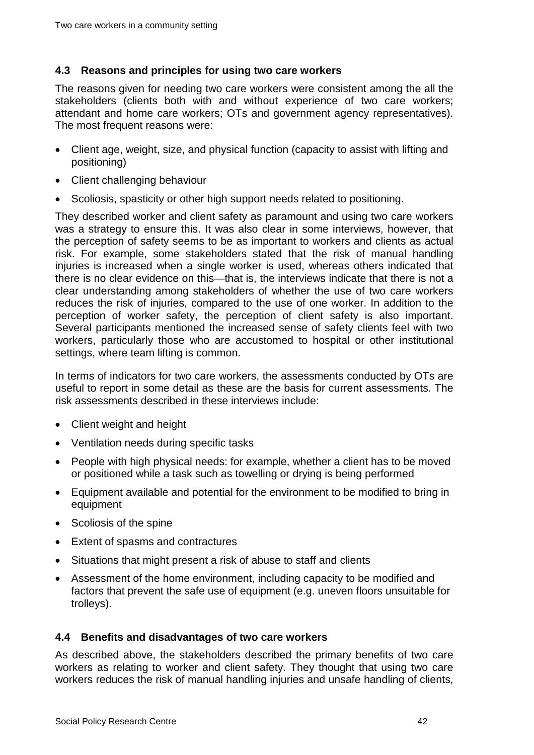#### <span id="page-46-0"></span>**4.3 Reasons and principles for using two care workers**

The reasons given for needing two care workers were consistent among the all the stakeholders (clients both with and without experience of two care workers; attendant and home care workers; OTs and government agency representatives). The most frequent reasons were:

- Client age, weight, size, and physical function (capacity to assist with lifting and positioning)
- Client challenging behaviour
- Scoliosis, spasticity or other high support needs related to positioning.

They described worker and client safety as paramount and using two care workers was a strategy to ensure this. It was also clear in some interviews, however, that the perception of safety seems to be as important to workers and clients as actual risk. For example, some stakeholders stated that the risk of manual handling injuries is increased when a single worker is used, whereas others indicated that there is no clear evidence on this—that is, the interviews indicate that there is not a clear understanding among stakeholders of whether the use of two care workers reduces the risk of injuries, compared to the use of one worker. In addition to the perception of worker safety, the perception of client safety is also important. Several participants mentioned the increased sense of safety clients feel with two workers, particularly those who are accustomed to hospital or other institutional settings, where team lifting is common.

In terms of indicators for two care workers, the assessments conducted by OTs are useful to report in some detail as these are the basis for current assessments. The risk assessments described in these interviews include:

- Client weight and height
- Ventilation needs during specific tasks
- People with high physical needs: for example, whether a client has to be moved or positioned while a task such as towelling or drying is being performed
- Equipment available and potential for the environment to be modified to bring in equipment
- Scoliosis of the spine
- Extent of spasms and contractures
- Situations that might present a risk of abuse to staff and clients
- Assessment of the home environment, including capacity to be modified and factors that prevent the safe use of equipment (e.g. uneven floors unsuitable for trolleys).

#### <span id="page-46-1"></span>**4.4 Benefits and disadvantages of two care workers**

As described above, the stakeholders described the primary benefits of two care workers as relating to worker and client safety. They thought that using two care workers reduces the risk of manual handling injuries and unsafe handling of clients,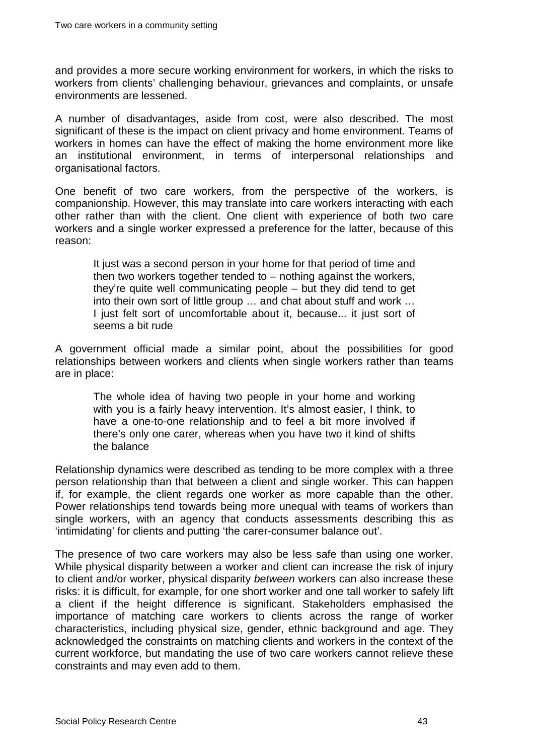and provides a more secure working environment for workers, in which the risks to workers from clients' challenging behaviour, grievances and complaints, or unsafe environments are lessened.

A number of disadvantages, aside from cost, were also described. The most significant of these is the impact on client privacy and home environment. Teams of workers in homes can have the effect of making the home environment more like an institutional environment, in terms of interpersonal relationships and organisational factors.

One benefit of two care workers, from the perspective of the workers, is companionship. However, this may translate into care workers interacting with each other rather than with the client. One client with experience of both two care workers and a single worker expressed a preference for the latter, because of this reason:

It just was a second person in your home for that period of time and then two workers together tended to  $-$  nothing against the workers, they're quite well communicating people – but they did tend to get into their own sort of little group … and chat about stuff and work … I just felt sort of uncomfortable about it, because... it just sort of seems a bit rude

A government official made a similar point, about the possibilities for good relationships between workers and clients when single workers rather than teams are in place:

The whole idea of having two people in your home and working with you is a fairly heavy intervention. It's almost easier, I think, to have a one-to-one relationship and to feel a bit more involved if there's only one carer, whereas when you have two it kind of shifts the balance

Relationship dynamics were described as tending to be more complex with a three person relationship than that between a client and single worker. This can happen if, for example, the client regards one worker as more capable than the other. Power relationships tend towards being more unequal with teams of workers than single workers, with an agency that conducts assessments describing this as 'intimidating' for clients and putting 'the carer-consumer balance out'.

The presence of two care workers may also be less safe than using one worker. While physical disparity between a worker and client can increase the risk of injury to client and/or worker, physical disparity *between* workers can also increase these risks: it is difficult, for example, for one short worker and one tall worker to safely lift a client if the height difference is significant. Stakeholders emphasised the importance of matching care workers to clients across the range of worker characteristics, including physical size, gender, ethnic background and age. They acknowledged the constraints on matching clients and workers in the context of the current workforce, but mandating the use of two care workers cannot relieve these constraints and may even add to them.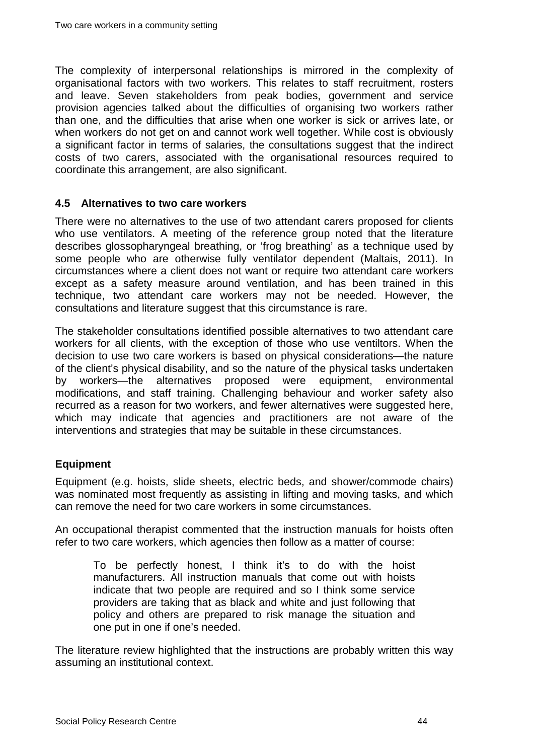The complexity of interpersonal relationships is mirrored in the complexity of organisational factors with two workers. This relates to staff recruitment, rosters and leave. Seven stakeholders from peak bodies, government and service provision agencies talked about the difficulties of organising two workers rather than one, and the difficulties that arise when one worker is sick or arrives late, or when workers do not get on and cannot work well together. While cost is obviously a significant factor in terms of salaries, the consultations suggest that the indirect costs of two carers, associated with the organisational resources required to coordinate this arrangement, are also significant.

#### <span id="page-48-0"></span>**4.5 Alternatives to two care workers**

There were no alternatives to the use of two attendant carers proposed for clients who use ventilators. A meeting of the reference group noted that the literature describes glossopharyngeal breathing, or 'frog breathing' as a technique used by some people who are otherwise fully ventilator dependent (Maltais, 2011). In circumstances where a client does not want or require two attendant care workers except as a safety measure around ventilation, and has been trained in this technique, two attendant care workers may not be needed. However, the consultations and literature suggest that this circumstance is rare.

The stakeholder consultations identified possible alternatives to two attendant care workers for all clients, with the exception of those who use ventiltors. When the decision to use two care workers is based on physical considerations—the nature of the client's physical disability, and so the nature of the physical tasks undertaken by workers—the alternatives proposed were equipment, environmental modifications, and staff training. Challenging behaviour and worker safety also recurred as a reason for two workers, and fewer alternatives were suggested here, which may indicate that agencies and practitioners are not aware of the interventions and strategies that may be suitable in these circumstances.

#### <span id="page-48-1"></span>**Equipment**

Equipment (e.g. hoists, slide sheets, electric beds, and shower/commode chairs) was nominated most frequently as assisting in lifting and moving tasks, and which can remove the need for two care workers in some circumstances.

An occupational therapist commented that the instruction manuals for hoists often refer to two care workers, which agencies then follow as a matter of course:

To be perfectly honest, I think it's to do with the hoist manufacturers. All instruction manuals that come out with hoists indicate that two people are required and so I think some service providers are taking that as black and white and just following that policy and others are prepared to risk manage the situation and one put in one if one's needed.

The literature review highlighted that the instructions are probably written this way assuming an institutional context.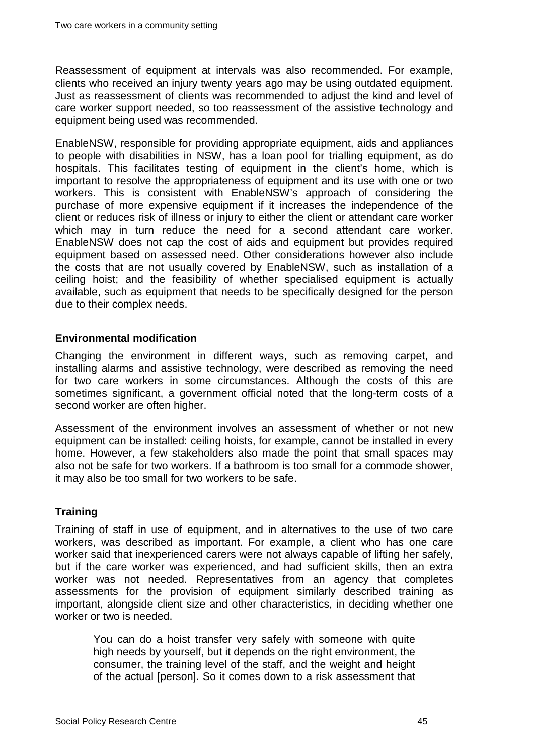Reassessment of equipment at intervals was also recommended. For example, clients who received an injury twenty years ago may be using outdated equipment. Just as reassessment of clients was recommended to adjust the kind and level of care worker support needed, so too reassessment of the assistive technology and equipment being used was recommended.

EnableNSW, responsible for providing appropriate equipment, aids and appliances to people with disabilities in NSW, has a loan pool for trialling equipment, as do hospitals. This facilitates testing of equipment in the client's home, which is important to resolve the appropriateness of equipment and its use with one or two workers. This is consistent with EnableNSW's approach of considering the purchase of more expensive equipment if it increases the independence of the client or reduces risk of illness or injury to either the client or attendant care worker which may in turn reduce the need for a second attendant care worker. EnableNSW does not cap the cost of aids and equipment but provides required equipment based on assessed need. Other considerations however also include the costs that are not usually covered by EnableNSW, such as installation of a ceiling hoist; and the feasibility of whether specialised equipment is actually available, such as equipment that needs to be specifically designed for the person due to their complex needs.

#### <span id="page-49-0"></span>**Environmental modification**

Changing the environment in different ways, such as removing carpet, and installing alarms and assistive technology, were described as removing the need for two care workers in some circumstances. Although the costs of this are sometimes significant, a government official noted that the long-term costs of a second worker are often higher.

Assessment of the environment involves an assessment of whether or not new equipment can be installed: ceiling hoists, for example, cannot be installed in every home. However, a few stakeholders also made the point that small spaces may also not be safe for two workers. If a bathroom is too small for a commode shower, it may also be too small for two workers to be safe.

#### <span id="page-49-1"></span>**Training**

Training of staff in use of equipment, and in alternatives to the use of two care workers, was described as important. For example, a client who has one care worker said that inexperienced carers were not always capable of lifting her safely, but if the care worker was experienced, and had sufficient skills, then an extra worker was not needed. Representatives from an agency that completes assessments for the provision of equipment similarly described training as important, alongside client size and other characteristics, in deciding whether one worker or two is needed.

You can do a hoist transfer very safely with someone with quite high needs by yourself, but it depends on the right environment, the consumer, the training level of the staff, and the weight and height of the actual [person]. So it comes down to a risk assessment that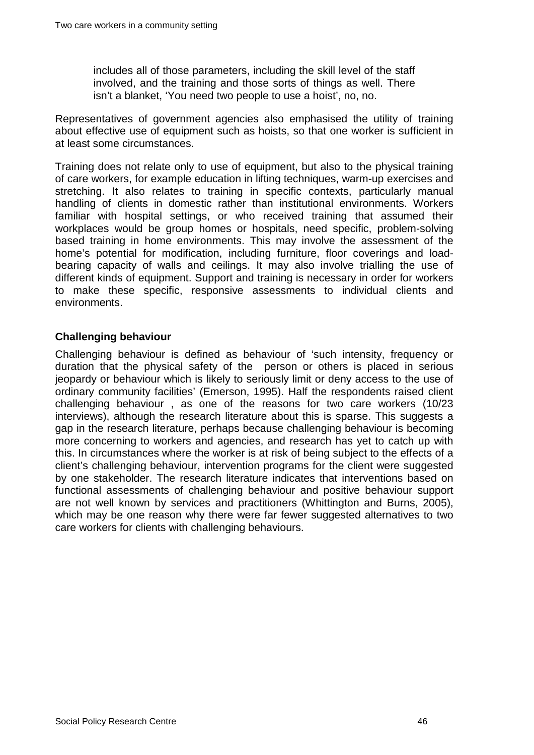includes all of those parameters, including the skill level of the staff involved, and the training and those sorts of things as well. There isn't a blanket, 'You need two people to use a hoist', no, no.

Representatives of government agencies also emphasised the utility of training about effective use of equipment such as hoists, so that one worker is sufficient in at least some circumstances.

Training does not relate only to use of equipment, but also to the physical training of care workers, for example education in lifting techniques, warm-up exercises and stretching. It also relates to training in specific contexts, particularly manual handling of clients in domestic rather than institutional environments. Workers familiar with hospital settings, or who received training that assumed their workplaces would be group homes or hospitals, need specific, problem-solving based training in home environments. This may involve the assessment of the home's potential for modification, including furniture, floor coverings and loadbearing capacity of walls and ceilings. It may also involve trialling the use of different kinds of equipment. Support and training is necessary in order for workers to make these specific, responsive assessments to individual clients and environments.

#### <span id="page-50-0"></span>**Challenging behaviour**

Challenging behaviour is defined as behaviour of 'such intensity, frequency or duration that the physical safety of the person or others is placed in serious jeopardy or behaviour which is likely to seriously limit or deny access to the use of ordinary community facilities' (Emerson, 1995). Half the respondents raised client challenging behaviour , as one of the reasons for two care workers (10/23 interviews), although the research literature about this is sparse. This suggests a gap in the research literature, perhaps because challenging behaviour is becoming more concerning to workers and agencies, and research has yet to catch up with this. In circumstances where the worker is at risk of being subject to the effects of a client's challenging behaviour, intervention programs for the client were suggested by one stakeholder. The research literature indicates that interventions based on functional assessments of challenging behaviour and positive behaviour support are not well known by services and practitioners (Whittington and Burns, 2005), which may be one reason why there were far fewer suggested alternatives to two care workers for clients with challenging behaviours.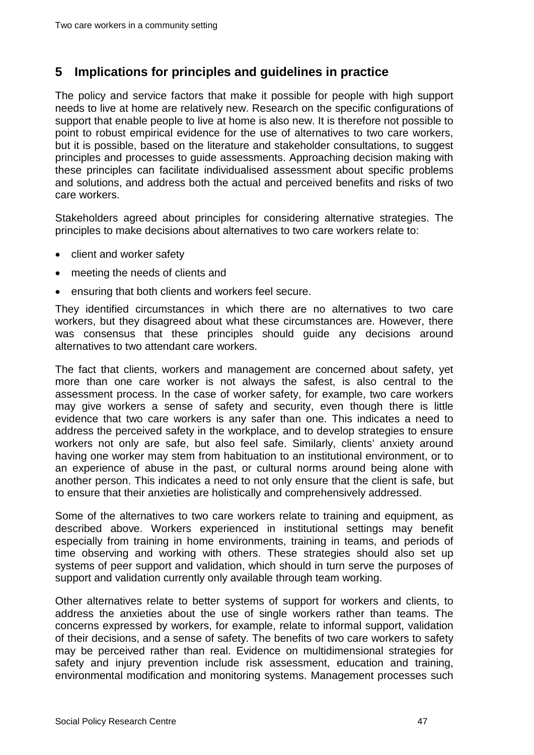### <span id="page-51-0"></span>**5 Implications for principles and guidelines in practice**

The policy and service factors that make it possible for people with high support needs to live at home are relatively new. Research on the specific configurations of support that enable people to live at home is also new. It is therefore not possible to point to robust empirical evidence for the use of alternatives to two care workers, but it is possible, based on the literature and stakeholder consultations, to suggest principles and processes to guide assessments. Approaching decision making with these principles can facilitate individualised assessment about specific problems and solutions, and address both the actual and perceived benefits and risks of two care workers.

Stakeholders agreed about principles for considering alternative strategies. The principles to make decisions about alternatives to two care workers relate to:

- client and worker safety
- meeting the needs of clients and
- ensuring that both clients and workers feel secure.

They identified circumstances in which there are no alternatives to two care workers, but they disagreed about what these circumstances are. However, there was consensus that these principles should guide any decisions around alternatives to two attendant care workers.

The fact that clients, workers and management are concerned about safety, yet more than one care worker is not always the safest, is also central to the assessment process. In the case of worker safety, for example, two care workers may give workers a sense of safety and security, even though there is little evidence that two care workers is any safer than one. This indicates a need to address the perceived safety in the workplace, and to develop strategies to ensure workers not only are safe, but also feel safe. Similarly, clients' anxiety around having one worker may stem from habituation to an institutional environment, or to an experience of abuse in the past, or cultural norms around being alone with another person. This indicates a need to not only ensure that the client is safe, but to ensure that their anxieties are holistically and comprehensively addressed.

Some of the alternatives to two care workers relate to training and equipment, as described above. Workers experienced in institutional settings may benefit especially from training in home environments, training in teams, and periods of time observing and working with others. These strategies should also set up systems of peer support and validation, which should in turn serve the purposes of support and validation currently only available through team working.

Other alternatives relate to better systems of support for workers and clients, to address the anxieties about the use of single workers rather than teams. The concerns expressed by workers, for example, relate to informal support, validation of their decisions, and a sense of safety. The benefits of two care workers to safety may be perceived rather than real. Evidence on multidimensional strategies for safety and injury prevention include risk assessment, education and training, environmental modification and monitoring systems. Management processes such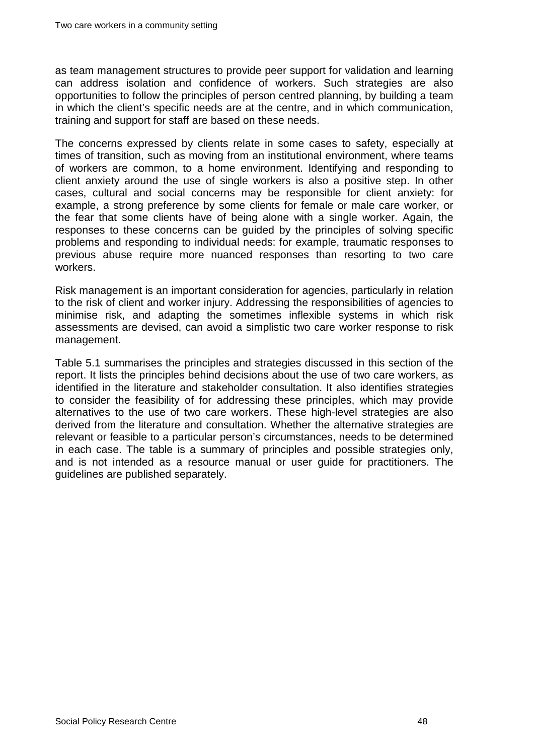as team management structures to provide peer support for validation and learning can address isolation and confidence of workers. Such strategies are also opportunities to follow the principles of person centred planning, by building a team in which the client's specific needs are at the centre, and in which communication, training and support for staff are based on these needs.

The concerns expressed by clients relate in some cases to safety, especially at times of transition, such as moving from an institutional environment, where teams of workers are common, to a home environment. Identifying and responding to client anxiety around the use of single workers is also a positive step. In other cases, cultural and social concerns may be responsible for client anxiety: for example, a strong preference by some clients for female or male care worker, or the fear that some clients have of being alone with a single worker. Again, the responses to these concerns can be guided by the principles of solving specific problems and responding to individual needs: for example, traumatic responses to previous abuse require more nuanced responses than resorting to two care workers.

Risk management is an important consideration for agencies, particularly in relation to the risk of client and worker injury. Addressing the responsibilities of agencies to minimise risk, and adapting the sometimes inflexible systems in which risk assessments are devised, can avoid a simplistic two care worker response to risk management.

[Table 5.1](#page-53-0) summarises the principles and strategies discussed in this section of the report. It lists the principles behind decisions about the use of two care workers, as identified in the literature and stakeholder consultation. It also identifies strategies to consider the feasibility of for addressing these principles, which may provide alternatives to the use of two care workers. These high-level strategies are also derived from the literature and consultation. Whether the alternative strategies are relevant or feasible to a particular person's circumstances, needs to be determined in each case. The table is a summary of principles and possible strategies only, and is not intended as a resource manual or user guide for practitioners. The guidelines are published separately.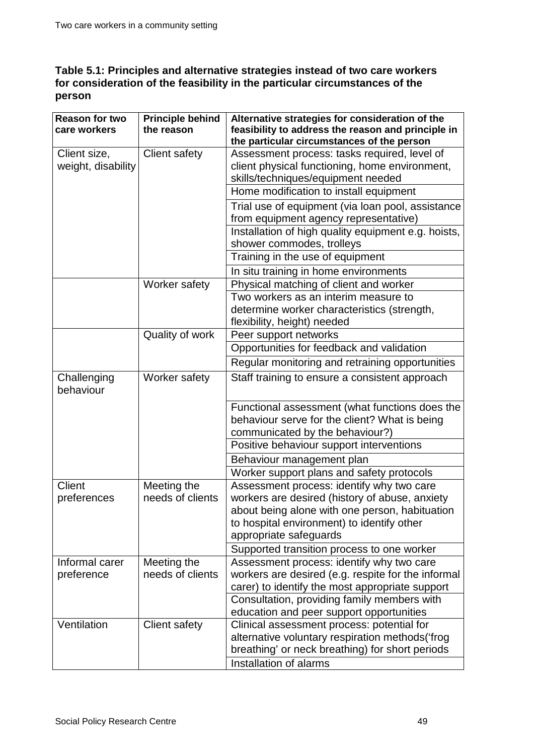#### <span id="page-53-0"></span>**Table 5.1: Principles and alternative strategies instead of two care workers for consideration of the feasibility in the particular circumstances of the person**

| <b>Reason for two</b> | <b>Principle behind</b> | Alternative strategies for consideration of the                                            |
|-----------------------|-------------------------|--------------------------------------------------------------------------------------------|
| care workers          | the reason              | feasibility to address the reason and principle in                                         |
|                       |                         | the particular circumstances of the person                                                 |
| Client size,          | <b>Client safety</b>    | Assessment process: tasks required, level of                                               |
| weight, disability    |                         | client physical functioning, home environment,                                             |
|                       |                         | skills/techniques/equipment needed                                                         |
|                       |                         | Home modification to install equipment                                                     |
|                       |                         | Trial use of equipment (via loan pool, assistance<br>from equipment agency representative) |
|                       |                         | Installation of high quality equipment e.g. hoists,<br>shower commodes, trolleys           |
|                       |                         | Training in the use of equipment                                                           |
|                       |                         | In situ training in home environments                                                      |
|                       | Worker safety           | Physical matching of client and worker                                                     |
|                       |                         | Two workers as an interim measure to                                                       |
|                       |                         | determine worker characteristics (strength,                                                |
|                       |                         | flexibility, height) needed                                                                |
|                       | Quality of work         | Peer support networks                                                                      |
|                       |                         | Opportunities for feedback and validation                                                  |
|                       |                         | Regular monitoring and retraining opportunities                                            |
| Challenging           | Worker safety           | Staff training to ensure a consistent approach                                             |
| behaviour             |                         |                                                                                            |
|                       |                         |                                                                                            |
|                       |                         | Functional assessment (what functions does the                                             |
|                       |                         | behaviour serve for the client? What is being                                              |
|                       |                         | communicated by the behaviour?)                                                            |
|                       |                         | Positive behaviour support interventions                                                   |
|                       |                         | Behaviour management plan                                                                  |
|                       |                         | Worker support plans and safety protocols                                                  |
| Client                | Meeting the             | Assessment process: identify why two care                                                  |
| preferences           | needs of clients        | workers are desired (history of abuse, anxiety                                             |
|                       |                         | about being alone with one person, habituation                                             |
|                       |                         | to hospital environment) to identify other                                                 |
|                       |                         | appropriate safeguards                                                                     |
|                       |                         | Supported transition process to one worker                                                 |
| Informal carer        | Meeting the             | Assessment process: identify why two care                                                  |
| preference            | needs of clients        | workers are desired (e.g. respite for the informal                                         |
|                       |                         | carer) to identify the most appropriate support                                            |
|                       |                         | Consultation, providing family members with                                                |
| Ventilation           | <b>Client safety</b>    | education and peer support opportunities<br>Clinical assessment process: potential for     |
|                       |                         | alternative voluntary respiration methods ('frog                                           |
|                       |                         | breathing' or neck breathing) for short periods                                            |
|                       |                         | Installation of alarms                                                                     |
|                       |                         |                                                                                            |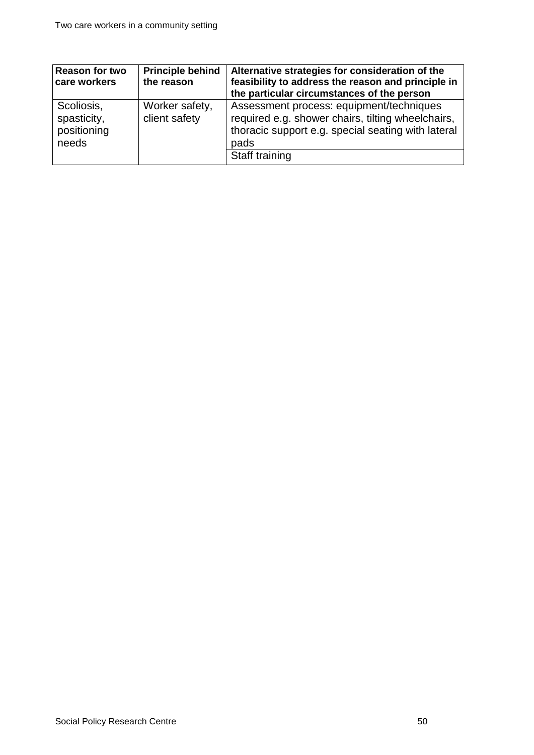| <b>Reason for two</b><br>care workers             | <b>Principle behind</b><br>the reason | Alternative strategies for consideration of the<br>feasibility to address the reason and principle in<br>the particular circumstances of the person                           |
|---------------------------------------------------|---------------------------------------|-------------------------------------------------------------------------------------------------------------------------------------------------------------------------------|
| Scoliosis,<br>spasticity,<br>positioning<br>needs | Worker safety,<br>client safety       | Assessment process: equipment/techniques<br>required e.g. shower chairs, tilting wheelchairs,<br>thoracic support e.g. special seating with lateral<br>pads<br>Staff training |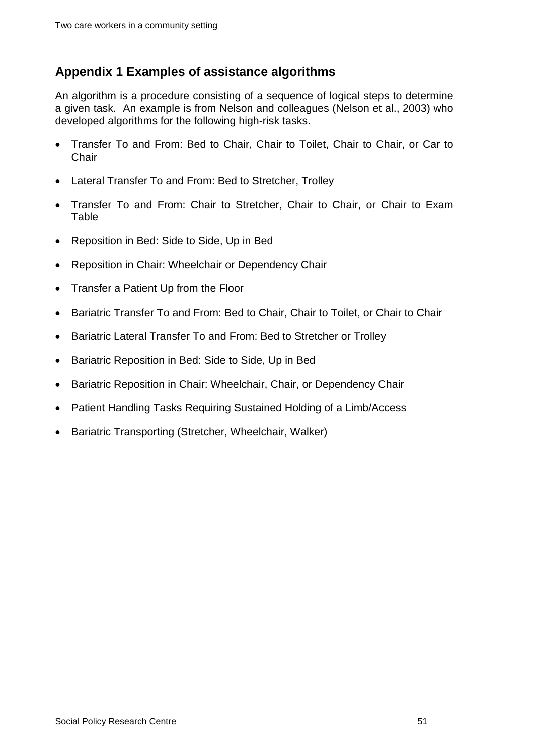## <span id="page-55-0"></span>**Appendix 1 Examples of assistance algorithms**

An algorithm is a procedure consisting of a sequence of logical steps to determine a given task. An example is from Nelson and colleagues (Nelson et al., 2003) who developed algorithms for the following high-risk tasks.

- Transfer To and From: Bed to Chair, Chair to Toilet, Chair to Chair, or Car to **Chair**
- Lateral Transfer To and From: Bed to Stretcher, Trolley
- Transfer To and From: Chair to Stretcher, Chair to Chair, or Chair to Exam Table
- Reposition in Bed: Side to Side, Up in Bed
- Reposition in Chair: Wheelchair or Dependency Chair
- Transfer a Patient Up from the Floor
- Bariatric Transfer To and From: Bed to Chair, Chair to Toilet, or Chair to Chair
- Bariatric Lateral Transfer To and From: Bed to Stretcher or Trolley
- Bariatric Reposition in Bed: Side to Side, Up in Bed
- Bariatric Reposition in Chair: Wheelchair, Chair, or Dependency Chair
- Patient Handling Tasks Requiring Sustained Holding of a Limb/Access
- Bariatric Transporting (Stretcher, Wheelchair, Walker)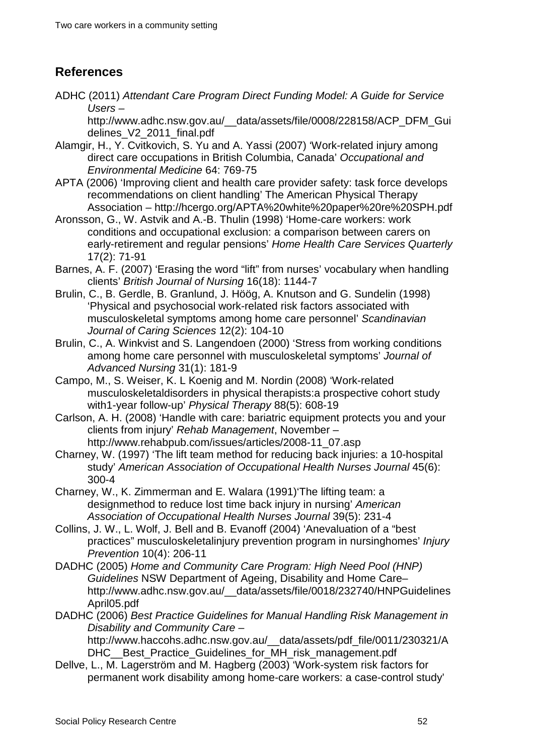## <span id="page-56-0"></span>**References**

ADHC (2011) *Attendant Care Program Direct Funding Model: A Guide for Service Users* –

http://www.adhc.nsw.gov.au/\_\_data/assets/file/0008/228158/ACP\_DFM\_Gui delines\_V2\_2011\_final.pdf

- Alamgir, H., Y. Cvitkovich, S. Yu and A. Yassi (2007) 'Work-related injury among direct care occupations in British Columbia, Canada' *Occupational and Environmental Medicine* 64: 769-75
- APTA (2006) 'Improving client and health care provider safety: task force develops recommendations on client handling' The American Physical Therapy Association – http://hcergo.org/APTA%20white%20paper%20re%20SPH.pdf
- Aronsson, G., W. Astvik and A.-B. Thulin (1998) 'Home-care workers: work conditions and occupational exclusion: a comparison between carers on early-retirement and regular pensions' *Home Health Care Services Quarterly* 17(2): 71-91
- Barnes, A. F. (2007) 'Erasing the word "lift" from nurses' vocabulary when handling clients' *British Journal of Nursing* 16(18): 1144-7
- Brulin, C., B. Gerdle, B. Granlund, J. Höög, A. Knutson and G. Sundelin (1998) 'Physical and psychosocial work-related risk factors associated with musculoskeletal symptoms among home care personnel' *Scandinavian Journal of Caring Sciences* 12(2): 104-10
- Brulin, C., A. Winkvist and S. Langendoen (2000) 'Stress from working conditions among home care personnel with musculoskeletal symptoms' *Journal of Advanced Nursing* 31(1): 181-9
- Campo, M., S. Weiser, K. L Koenig and M. Nordin (2008) 'Work-related musculoskeletaldisorders in physical therapists:a prospective cohort study with1-year follow-up' *Physical Therapy* 88(5): 608-19
- Carlson, A. H. (2008) 'Handle with care: bariatric equipment protects you and your clients from injury' *Rehab Management*, November – http://www.rehabpub.com/issues/articles/2008-11\_07.asp
- Charney, W. (1997) 'The lift team method for reducing back injuries: a 10-hospital study' American Association of Occupational Health Nurses Journal 45(6): 300-4
- Charney, W., K. Zimmerman and E. Walara (1991)'The lifting team: a designmethod to reduce lost time back injury in nursing' *American Association of Occupational Health Nurses Journal* 39(5): 231-4
- Collins, J. W., L. Wolf, J. Bell and B. Evanoff (2004) 'Anevaluation of a "best practices" musculoskeletalinjury prevention program in nursinghomes' *Injury Prevention* 10(4): 206-11
- DADHC (2005) *Home and Community Care Program: High Need Pool (HNP) Guidelines* NSW Department of Ageing, Disability and Home Care– http://www.adhc.nsw.gov.au/\_\_data/assets/file/0018/232740/HNPGuidelines April05.pdf
- DADHC (2006) *Best Practice Guidelines for Manual Handling Risk Management in Disability and Community Care* –

http://www.haccohs.adhc.nsw.gov.au/\_\_data/assets/pdf\_file/0011/230321/A DHC Best Practice Guidelines for MH risk management.pdf

Dellve, L., M. Lagerström and M. Hagberg (2003) 'Work-system risk factors for permanent work disability among home-care workers: a case-control study'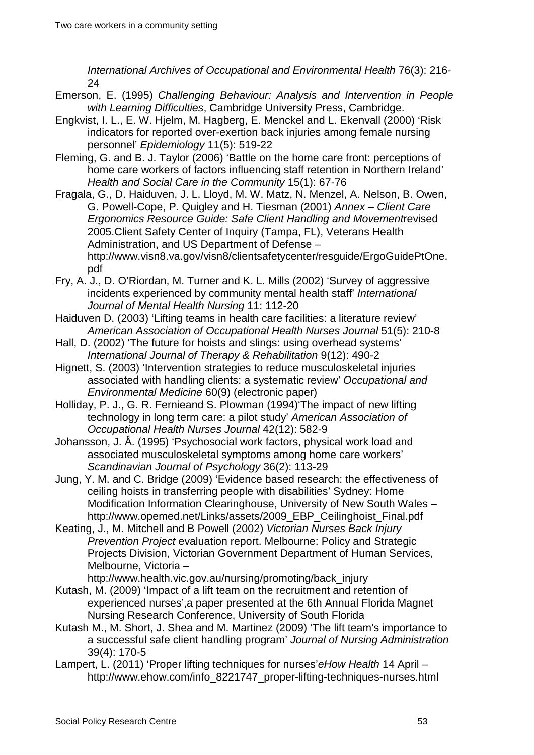*International Archives of Occupational and Environmental Health* 76(3): 216- 24

- Emerson, E. (1995) *Challenging Behaviour: Analysis and Intervention in People with Learning Difficulties*, Cambridge University Press, Cambridge.
- Engkvist, I. L., E. W. Hjelm, M. Hagberg, E. Menckel and L. Ekenvall (2000) 'Risk indicators for reported over-exertion back injuries among female nursing personnel' *Epidemiology* 11(5): 519-22
- Fleming, G. and B. J. Taylor (2006) 'Battle on the home care front: perceptions of home care workers of factors influencing staff retention in Northern Ireland' *Health and Social Care in the Community* 15(1): 67-76
- Fragala, G., D. Haiduven, J. L. Lloyd, M. W. Matz, N. Menzel, A. Nelson, B. Owen, G. Powell-Cope, P. Quigley and H. Tiesman (2001) *Annex – Client Care Ergonomics Resource Guide: Safe Client Handling and Movement*revised 2005.Client Safety Center of Inquiry (Tampa, FL), Veterans Health Administration, and US Department of Defense – http://www.visn8.va.gov/visn8/clientsafetycenter/resguide/ErgoGuidePtOne. pdf
- Fry, A. J., D. O'Riordan, M. Turner and K. L. Mills (2002) 'Survey of aggressive incidents experienced by community mental health staff' *International Journal of Mental Health Nursing* 11: 112-20
- Haiduven D. (2003) 'Lifting teams in health care facilities: a literature review' *American Association of Occupational Health Nurses Journal* 51(5): 210-8
- Hall, D. (2002) 'The future for hoists and slings: using overhead systems' *International Journal of Therapy & Rehabilitation* 9(12): 490-2
- Hignett, S. (2003) 'Intervention strategies to reduce musculoskeletal injuries associated with handling clients: a systematic review' *Occupational and Environmental Medicine* 60(9) (electronic paper)
- Holliday, P. J., G. R. Fernieand S. Plowman (1994)'The impact of new lifting technology in long term care: a pilot study' *American Association of Occupational Health Nurses Journal* 42(12): 582-9
- Johansson, J. Å. (1995) 'Psychosocial work factors, physical work load and associated musculoskeletal symptoms among home care workers' *Scandinavian Journal of Psychology* 36(2): 113-29
- Jung, Y. M. and C. Bridge (2009) 'Evidence based research: the effectiveness of ceiling hoists in transferring people with disabilities' Sydney: Home Modification Information Clearinghouse, University of New South Wales – http://www.opemed.net/Links/assets/2009\_EBP\_Ceilinghoist\_Final.pdf
- Keating, J., M. Mitchell and B Powell (2002) *Victorian Nurses Back Injury Prevention Project* evaluation report. Melbourne: Policy and Strategic Projects Division, Victorian Government Department of Human Services, Melbourne, Victoria –

http://www.health.vic.gov.au/nursing/promoting/back\_injury

- Kutash, M. (2009) 'Impact of a lift team on the recruitment and retention of experienced nurses',a paper presented at the 6th Annual Florida Magnet Nursing Research Conference, University of South Florida
- Kutash M., M. Short, J. Shea and M. Martinez (2009) 'The lift team's importance to a successful safe client handling program' *Journal of Nursing Administration* 39(4): 170-5
- Lampert, L. (2011) 'Proper lifting techniques for nurses'*eHow Health* 14 April http://www.ehow.com/info\_8221747\_proper-lifting-techniques-nurses.html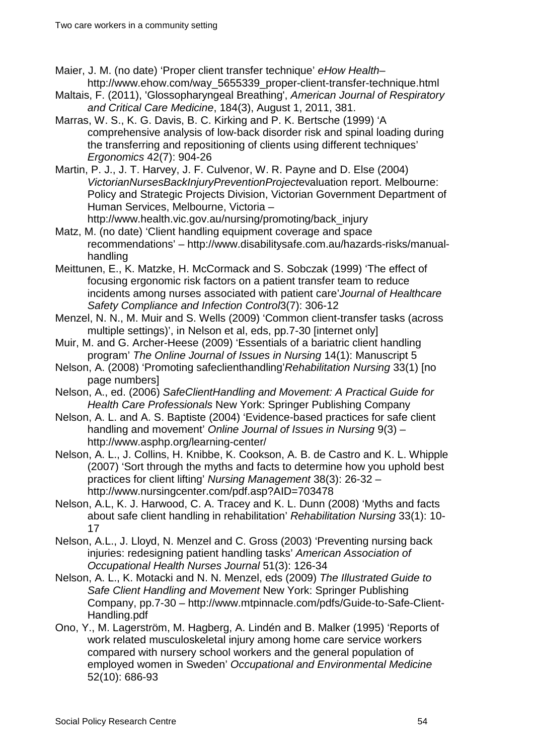Maier, J. M. (no date) 'Proper client transfer technique' *eHow Health*– http://www.ehow.com/way\_5655339\_proper-client-transfer-technique.html

- Maltais, F. (2011), 'Glossopharyngeal Breathing', *American Journal of Respiratory and Critical Care Medicine*, 184(3), August 1, 2011, 381.
- Marras, W. S., K. G. Davis, B. C. Kirking and P. K. Bertsche (1999) 'A comprehensive analysis of low-back disorder risk and spinal loading during the transferring and repositioning of clients using different techniques' *Ergonomics* 42(7): 904-26
- Martin, P. J., J. T. Harvey, J. F. Culvenor, W. R. Payne and D. Else (2004) *VictorianNursesBackInjuryPreventionProject*evaluation report. Melbourne: Policy and Strategic Projects Division, Victorian Government Department of Human Services, Melbourne, Victoria –

http://www.health.vic.gov.au/nursing/promoting/back\_injury Matz, M. (no date) 'Client handling equipment coverage and space

- recommendations' http://www.disabilitysafe.com.au/hazards-risks/manualhandling
- Meittunen, E., K. Matzke, H. McCormack and S. Sobczak (1999) 'The effect of focusing ergonomic risk factors on a patient transfer team to reduce incidents among nurses associated with patient care'*Journal of Healthcare Safety Compliance and Infection Control*3(7): 306-12
- Menzel, N. N., M. Muir and S. Wells (2009) 'Common client-transfer tasks (across multiple settings)', in Nelson et al, eds, pp.7-30 [internet only]
- Muir, M. and G. Archer-Heese (2009) 'Essentials of a bariatric client handling program' *The Online Journal of Issues in Nursing* 14(1): Manuscript 5
- Nelson, A. (2008) 'Promoting safeclienthandling'*Rehabilitation Nursing* 33(1) [no page numbers]
- Nelson, A., ed. (2006) *SafeClientHandling and Movement: A Practical Guide for Health Care Professionals* New York: Springer Publishing Company
- Nelson, A. L. and A. S. Baptiste (2004) 'Evidence-based practices for safe client handling and movement' *Online Journal of Issues in Nursing* 9(3) – http://www.asphp.org/learning-center/
- Nelson, A. L., J. Collins, H. Knibbe, K. Cookson, A. B. de Castro and K. L. Whipple (2007) 'Sort through the myths and facts to determine how you uphold best practices for client lifting' *Nursing Management* 38(3): 26-32 – http://www.nursingcenter.com/pdf.asp?AID=703478
- Nelson, A.L, K. J. Harwood, C. A. Tracey and K. L. Dunn (2008) 'Myths and facts about safe client handling in rehabilitation' *Rehabilitation Nursing* 33(1): 10- 17
- Nelson, A.L., J. Lloyd, N. Menzel and C. Gross (2003) 'Preventing nursing back injuries: redesigning patient handling tasks' *American Association of Occupational Health Nurses Journal* 51(3): 126-34
- Nelson, A. L., K. Motacki and N. N. Menzel, eds (2009) *The Illustrated Guide to Safe Client Handling and Movement* New York: Springer Publishing Company, pp.7-30 – http://www.mtpinnacle.com/pdfs/Guide-to-Safe-Client-Handling.pdf
- Ono, Y., M. Lagerström, M. Hagberg, A. Lindén and B. Malker (1995) 'Reports of work related musculoskeletal injury among home care service workers compared with nursery school workers and the general population of employed women in Sweden' *Occupational and Environmental Medicine* 52(10): 686-93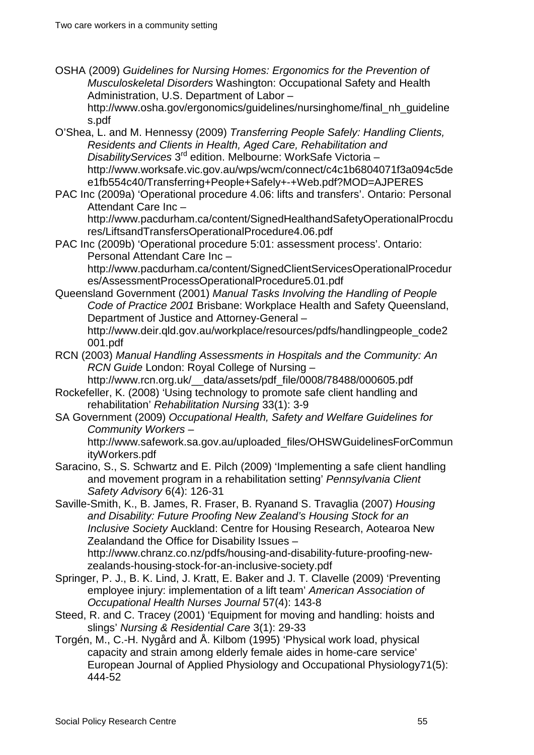OSHA (2009) *Guidelines for Nursing Homes: Ergonomics for the Prevention of Musculoskeletal Disorders* Washington: Occupational Safety and Health Administration, U.S. Department of Labor –

http://www.osha.gov/ergonomics/guidelines/nursinghome/final\_nh\_guideline s.pdf

O'Shea, L. and M. Hennessy (2009) *Transferring People Safely: Handling Clients, Residents and Clients in Health, Aged Care, Rehabilitation and DisabilityServices* 3rd edition. Melbourne: WorkSafe Victoria – http://www.worksafe.vic.gov.au/wps/wcm/connect/c4c1b6804071f3a094c5de e1fb554c40/Transferring+People+Safely+-+Web.pdf?MOD=AJPERES

PAC Inc (2009a) 'Operational procedure 4.06: lifts and transfers'. Ontario: Personal Attendant Care Inc –

http://www.pacdurham.ca/content/SignedHealthandSafetyOperationalProcdu res/LiftsandTransfersOperationalProcedure4.06.pdf

PAC Inc (2009b) 'Operational procedure 5:01: assessment process'. Ontario: Personal Attendant Care Inc –

http://www.pacdurham.ca/content/SignedClientServicesOperationalProcedur es/AssessmentProcessOperationalProcedure5.01.pdf

Queensland Government (2001) *Manual Tasks Involving the Handling of People Code of Practice 2001* Brisbane: Workplace Health and Safety Queensland, Department of Justice and Attorney-General – http://www.deir.gld.gov.au/workplace/resources/pdfs/handlingpeople\_code2

001.pdf RCN (2003) *Manual Handling Assessments in Hospitals and the Community: An* 

*RCN Guide* London: Royal College of Nursing –

http://www.rcn.org.uk/\_\_data/assets/pdf\_file/0008/78488/000605.pdf Rockefeller, K. (2008) 'Using technology to promote safe client handling and

- rehabilitation' *Rehabilitation Nursing* 33(1): 3-9
- SA Government (2009) *Occupational Health, Safety and Welfare Guidelines for Community Workers* –

http://www.safework.sa.gov.au/uploaded\_files/OHSWGuidelinesForCommun ityWorkers.pdf

Saracino, S., S. Schwartz and E. Pilch (2009) 'Implementing a safe client handling and movement program in a rehabilitation setting' *Pennsylvania Client Safety Advisory* 6(4): 126-31

Saville-Smith, K., B. James, R. Fraser, B. Ryanand S. Travaglia (2007) *Housing and Disability: Future Proofing New Zealand's Housing Stock for an Inclusive Society* Auckland: Centre for Housing Research, Aotearoa New Zealandand the Office for Disability Issues – http://www.chranz.co.nz/pdfs/housing-and-disability-future-proofing-new-

- zealands-housing-stock-for-an-inclusive-society.pdf Springer, P. J., B. K. Lind, J. Kratt, E. Baker and J. T. Clavelle (2009) 'Preventing employee injury: implementation of a lift team' *American Association of Occupational Health Nurses Journal* 57(4): 143-8
- Steed, R. and C. Tracey (2001) 'Equipment for moving and handling: hoists and slings' *Nursing & Residential Care* 3(1): 29-33
- Torgén, M., C.-H. Nygård and Å. Kilbom (1995) 'Physical work load, physical capacity and strain among elderly female aides in home-care service' European Journal of Applied Physiology and Occupational Physiology71(5): 444-52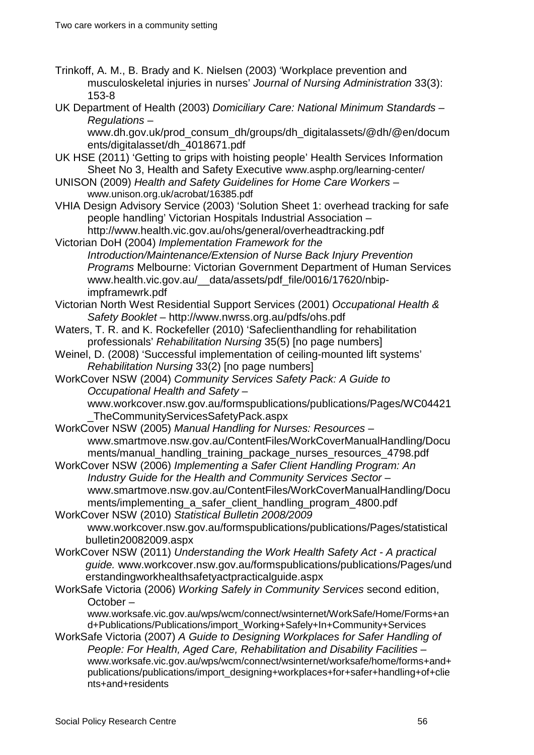Trinkoff, A. M., B. Brady and K. Nielsen (2003) 'Workplace prevention and musculoskeletal injuries in nurses' *Journal of Nursing Administration* 33(3): 153-8

UK Department of Health (2003) *Domiciliary Care: National Minimum Standards – Regulations* –

www.dh.gov.uk/prod\_consum\_dh/groups/dh\_digitalassets/@dh/@en/docum ents/digitalasset/dh\_4018671.pdf

- UK HSE (2011) 'Getting to grips with hoisting people' Health Services Information Sheet No 3, Health and Safety Executive www.asphp.org/learning-center/
- UNISON (2009) *Health and Safety Guidelines for Home Care Workers* www.unison.org.uk/acrobat/16385.pdf
- VHIA Design Advisory Service (2003) 'Solution Sheet 1: overhead tracking for safe people handling' Victorian Hospitals Industrial Association – http://www.health.vic.gov.au/ohs/general/overheadtracking.pdf
- Victorian DoH (2004) *Implementation Framework for the Introduction/Maintenance/Extension of Nurse Back Injury Prevention Programs* Melbourne: Victorian Government Department of Human Services www.health.vic.gov.au/\_\_data/assets/pdf\_file/0016/17620/nbipimpframewrk.pdf
- Victorian North West Residential Support Services (2001) *Occupational Health & Safety Booklet* – http://www.nwrss.org.au/pdfs/ohs.pdf
- Waters, T. R. and K. Rockefeller (2010) 'Safeclienthandling for rehabilitation professionals' *Rehabilitation Nursing* 35(5) [no page numbers]
- Weinel, D. (2008) 'Successful implementation of ceiling-mounted lift systems' *Rehabilitation Nursing* 33(2) [no page numbers]

WorkCover NSW (2004) *Community Services Safety Pack: A Guide to Occupational Health and Safety* – www.workcover.nsw.gov.au/formspublications/publications/Pages/WC04421

\_TheCommunityServicesSafetyPack.aspx

- WorkCover NSW (2005) *Manual Handling for Nurses: Resources* www.smartmove.nsw.gov.au/ContentFiles/WorkCoverManualHandling/Docu ments/manual\_handling\_training\_package\_nurses\_resources\_4798.pdf
- WorkCover NSW (2006) *Implementing a Safer Client Handling Program: An Industry Guide for the Health and Community Services Sector* – www.smartmove.nsw.gov.au/ContentFiles/WorkCoverManualHandling/Docu ments/implementing\_a\_safer\_client\_handling\_program\_4800.pdf
- WorkCover NSW (2010) *Statistical Bulletin 2008/2009* [www.workcover.nsw.gov.au/formspublications/publications/Pages/statistical](http://www.workcover.nsw.gov.au/formspublications/publications/Pages/statisticalbulletin20082009.aspx) [bulletin20082009.aspx](http://www.workcover.nsw.gov.au/formspublications/publications/Pages/statisticalbulletin20082009.aspx)
- WorkCover NSW (2011) *Understanding the Work Health Safety Act - A practical guide.* [www.workcover.nsw.gov.au/formspublications/publications/Pages/und](http://www.workcover.nsw.gov.au/formspublications/publications/Pages/understandingworkhealthsafetyactpracticalguide.aspx) [erstandingworkhealthsafetyactpracticalguide.aspx](http://www.workcover.nsw.gov.au/formspublications/publications/Pages/understandingworkhealthsafetyactpracticalguide.aspx)
- WorkSafe Victoria (2006) *Working Safely in Community Services* second edition, October –

www.worksafe.vic.gov.au/wps/wcm/connect/wsinternet/WorkSafe/Home/Forms+an d+Publications/Publications/import\_Working+Safely+In+Community+Services

WorkSafe Victoria (2007) *A Guide to Designing Workplaces for Safer Handling of People: For Health, Aged Care, Rehabilitation and Disability Facilities* – www.worksafe.vic.gov.au/wps/wcm/connect/wsinternet/worksafe/home/forms+and+ publications/publications/import\_designing+workplaces+for+safer+handling+of+clie nts+and+residents